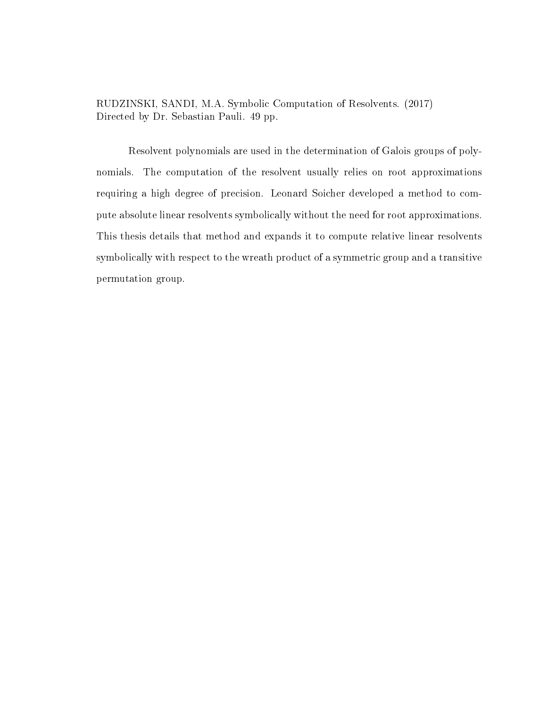RUDZINSKI, SANDI, M.A. Symbolic Computation of Resolvents. (2017) Directed by Dr. Sebastian Pauli. [49](#page-54-0) pp.

Resolvent polynomials are used in the determination of Galois groups of polynomials. The computation of the resolvent usually relies on root approximations requiring a high degree of precision. Leonard Soicher developed a method to compute absolute linear resolvents symbolically without the need for root approximations. This thesis details that method and expands it to compute relative linear resolvents symbolically with respect to the wreath product of a symmetric group and a transitive permutation group.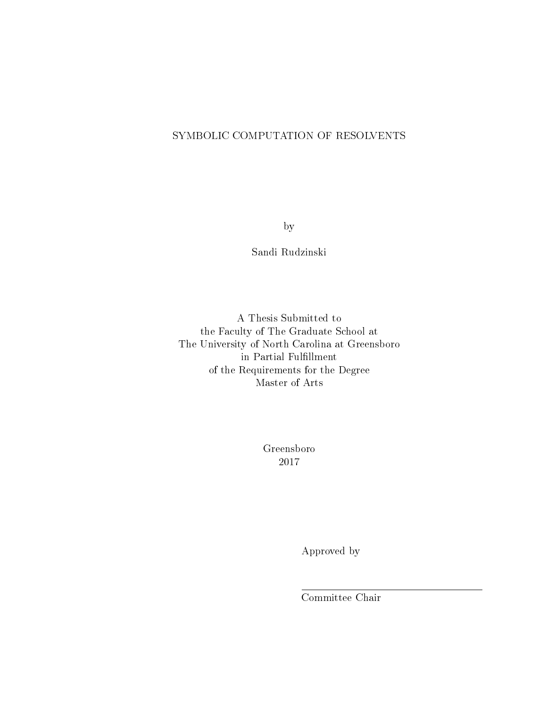## SYMBOLIC COMPUTATION OF RESOLVENTS

by

Sandi Rudzinski

A Thesis Submitted to the Faculty of The Graduate School at The University of North Carolina at Greensboro in Partial Fulfillment of the Requirements for the Degree Master of Arts

> Greensboro 2017

> > Approved by

Committee Chair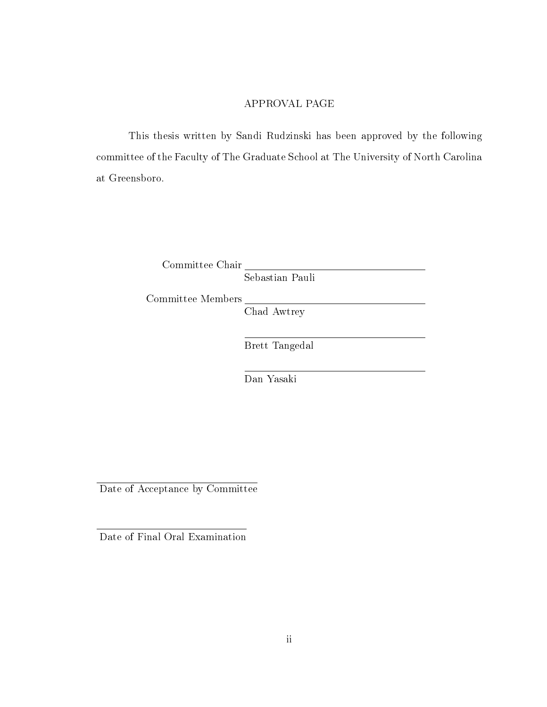### APPROVAL PAGE

This thesis written by Sandi Rudzinski has been approved by the following committee of the Faculty of The Graduate School at The University of North Carolina at Greensboro.

Committee Chair

Sebastian Pauli

Committee Members

Chad Awtrey

Brett Tangedal

Dan Yasaki

Date of Acceptance by Committee

Date of Final Oral Examination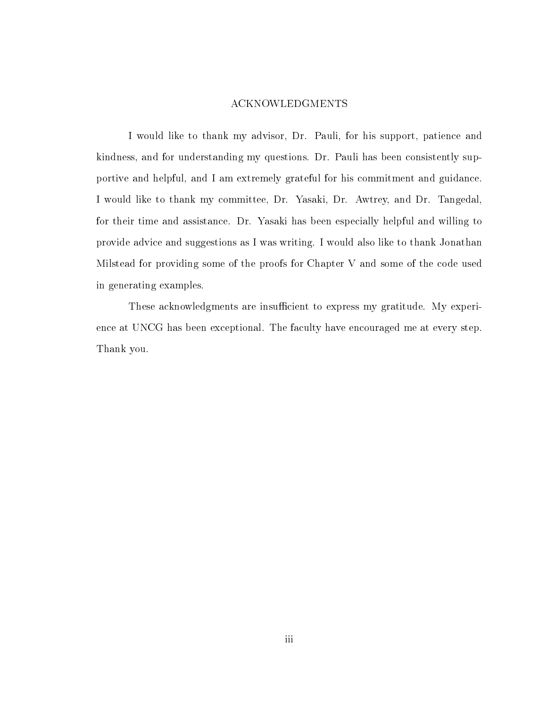#### ACKNOWLEDGMENTS

I would like to thank my advisor, Dr. Pauli, for his support, patience and kindness, and for understanding my questions. Dr. Pauli has been consistently supportive and helpful, and I am extremely grateful for his commitment and guidance. I would like to thank my committee, Dr. Yasaki, Dr. Awtrey, and Dr. Tangedal, for their time and assistance. Dr. Yasaki has been especially helpful and willing to provide advice and suggestions as I was writing. I would also like to thank Jonathan Milstead for providing some of the proofs for Chapter [V](#page-42-0) and some of the code used in generating examples.

These acknowledgments are insufficient to express my gratitude. My experience at UNCG has been exceptional. The faculty have encouraged me at every step. Thank you.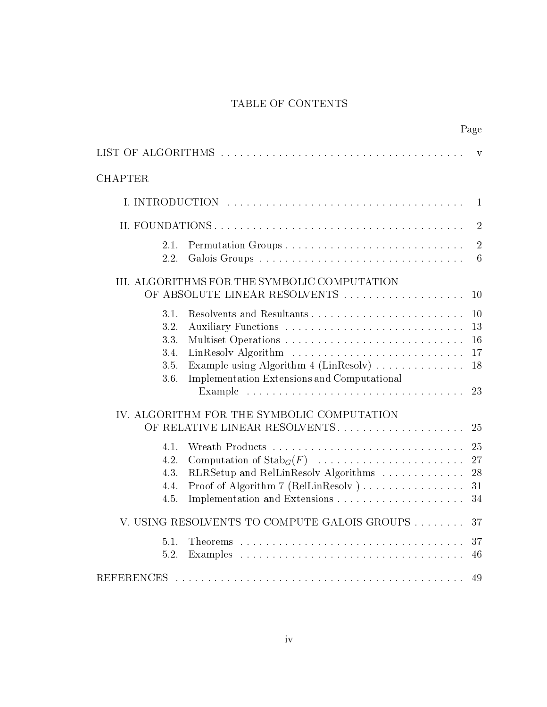# TABLE OF CONTENTS

Page

<span id="page-4-0"></span>

|                                                                                                                                                                                                                        | V                          |
|------------------------------------------------------------------------------------------------------------------------------------------------------------------------------------------------------------------------|----------------------------|
| <b>CHAPTER</b>                                                                                                                                                                                                         |                            |
|                                                                                                                                                                                                                        | $\mathbf{1}$               |
|                                                                                                                                                                                                                        | $\overline{2}$             |
| 2.1.<br>2.2.<br>Galois Groups                                                                                                                                                                                          | $\overline{2}$<br>6        |
| III. ALGORITHMS FOR THE SYMBOLIC COMPUTATION<br>OF ABSOLUTE LINEAR RESOLVENTS                                                                                                                                          | 10                         |
| Resolvents and Resultants<br>3.1.<br>Auxiliary Functions<br>3.2.<br>Multiset Operations<br>3.3.<br>3.4.<br>Example using Algorithm 4 (LinResolv)<br>3.5.<br><b>Implementation Extensions and Computational</b><br>3.6. | 10<br>13<br>16<br>17<br>18 |
| Example $\ldots \ldots \ldots \ldots \ldots \ldots \ldots \ldots \ldots \ldots \ldots$<br>IV. ALGORITHM FOR THE SYMBOLIC COMPUTATION<br>OF RELATIVE LINEAR RESOLVENTS                                                  | 23<br>25                   |
| 4.1.<br>Computation of $\operatorname{Stab}_G(F)$<br>4.2.<br>RLRSetup and RelLinResolv Algorithms<br>4.3.<br>Proof of Algorithm 7 (RelLinResolv)<br>4.4.<br>4.5.                                                       | 25<br>27<br>28<br>31<br>34 |
| V. USING RESOLVENTS TO COMPUTE GALOIS GROUPS                                                                                                                                                                           | 37                         |
| 5.1.<br>5.2.                                                                                                                                                                                                           | 37<br>46                   |
| <b>REFERENCES</b>                                                                                                                                                                                                      | 49                         |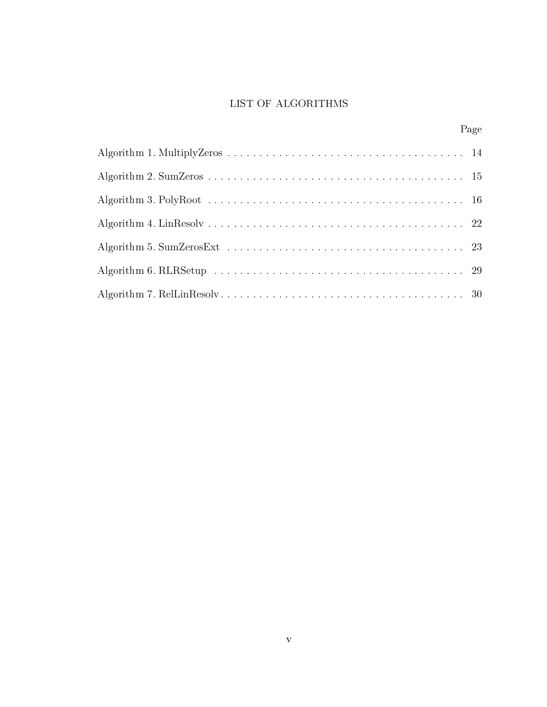# LIST OF ALGORITHMS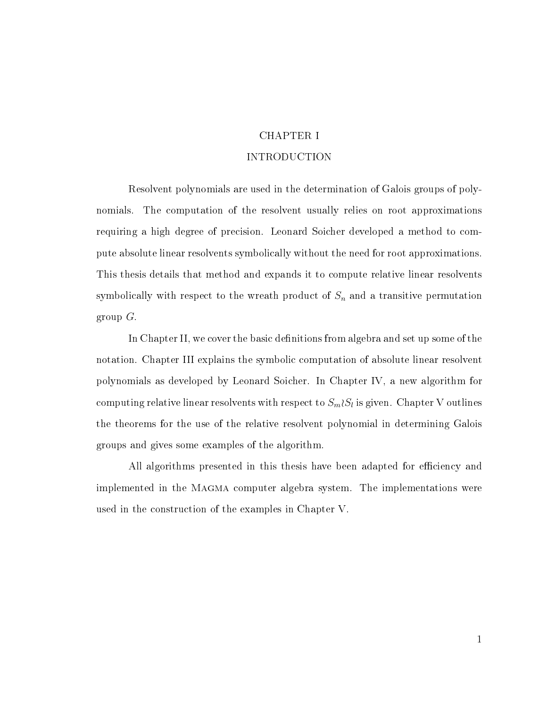## CHAPTER I

### INTRODUCTION

<span id="page-6-0"></span>Resolvent polynomials are used in the determination of Galois groups of polynomials. The computation of the resolvent usually relies on root approximations requiring a high degree of precision. Leonard Soicher developed a method to compute absolute linear resolvents symbolically without the need for root approximations. This thesis details that method and expands it to compute relative linear resolvents symbolically with respect to the wreath product of  $S_n$  and a transitive permutation group G.

In Chapter [II,](#page-7-0) we cover the basic definitions from algebra and set up some of the notation. Chapter [III](#page-15-0) explains the symbolic computation of absolute linear resolvent polynomials as developed by Leonard Soicher. In Chapter [IV,](#page-30-0) a new algorithm for computing relative linear resolvents with respect to  $S_m\wr S_l$  is given. Chapter [V](#page-42-0) outlines the theorems for the use of the relative resolvent polynomial in determining Galois groups and gives some examples of the algorithm.

All algorithms presented in this thesis have been adapted for efficiency and implemented in the MAGMA computer algebra system. The implementations were used in the construction of the examples in Chapter [V.](#page-42-0)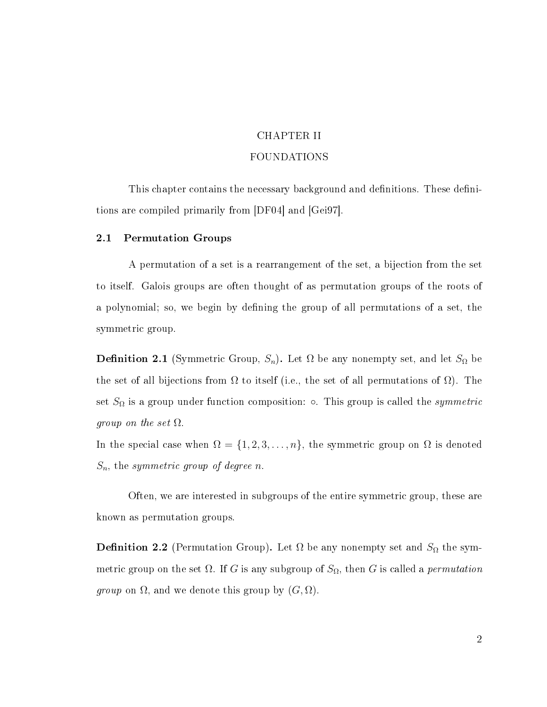# CHAPTER II FOUNDATIONS

<span id="page-7-0"></span>This chapter contains the necessary background and definitions. These definitions are compiled primarily from [\[DF04\]](#page-54-2) and [\[Gei97\]](#page-54-3).

#### <span id="page-7-1"></span>2.1 Permutation Groups

A permutation of a set is a rearrangement of the set, a bijection from the set to itself. Galois groups are often thought of as permutation groups of the roots of a polynomial; so, we begin by defining the group of all permutations of a set, the symmetric group.

**Definition 2.1** (Symmetric Group,  $S_n$ ). Let  $\Omega$  be any nonempty set, and let  $S_{\Omega}$  be the set of all bijections from  $\Omega$  to itself (i.e., the set of all permutations of  $\Omega$ ). The set  $S_{\Omega}$  is a group under function composition:  $\circ$ . This group is called the *symmetric group on the set*  $\Omega$ .

In the special case when  $\Omega = \{1, 2, 3, \ldots, n\}$ , the symmetric group on  $\Omega$  is denoted  $S_n$ , the symmetric group of degree n.

Often, we are interested in subgroups of the entire symmetric group, these are known as permutation groups.

**Definition 2.2** (Permutation Group). Let  $\Omega$  be any nonempty set and  $S_{\Omega}$  the symmetric group on the set  $\Omega$ . If G is any subgroup of  $S_{\Omega}$ , then G is called a *permutation group* on  $\Omega$ , and we denote this group by  $(G, \Omega)$ .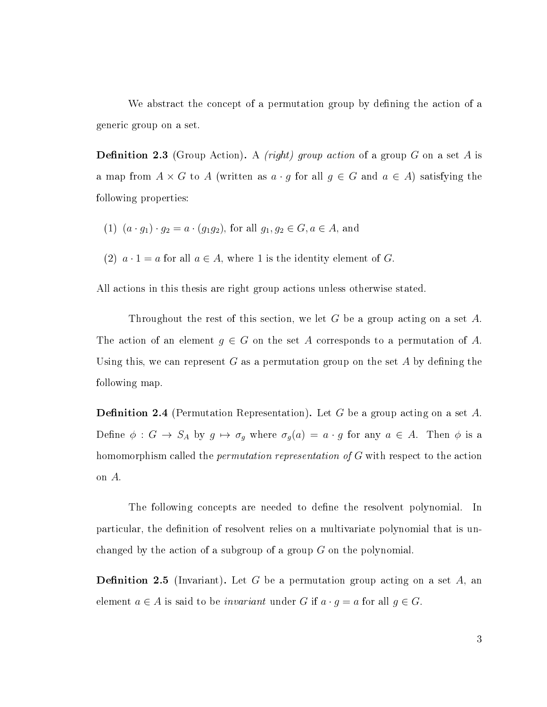We abstract the concept of a permutation group by defining the action of a generic group on a set.

**Definition 2.3** (Group Action). A *(right)* group action of a group G on a set A is a map from  $A \times G$  to A (written as  $a \cdot g$  for all  $g \in G$  and  $a \in A$ ) satisfying the following properties:

- (1)  $(a \cdot g_1) \cdot g_2 = a \cdot (g_1 g_2)$ , for all  $g_1, g_2 \in G, a \in A$ , and
- (2)  $a \cdot 1 = a$  for all  $a \in A$ , where 1 is the identity element of G.

All actions in this thesis are right group actions unless otherwise stated.

Throughout the rest of this section, we let G be a group acting on a set  $A$ . The action of an element  $g \in G$  on the set A corresponds to a permutation of A. Using this, we can represent G as a permutation group on the set A by defining the following map.

**Definition 2.4** (Permutation Representation). Let G be a group acting on a set A. Define  $\phi : G \to S_A$  by  $g \mapsto \sigma_g$  where  $\sigma_g(a) = a \cdot g$  for any  $a \in A$ . Then  $\phi$  is a homomorphism called the *permutation representation of G* with respect to the action on A.

The following concepts are needed to define the resolvent polynomial. In particular, the definition of resolvent relies on a multivariate polynomial that is unchanged by the action of a subgroup of a group G on the polynomial.

**Definition 2.5** (Invariant). Let G be a permutation group acting on a set A, an element  $a \in A$  is said to be *invariant* under G if  $a \cdot g = a$  for all  $g \in G$ .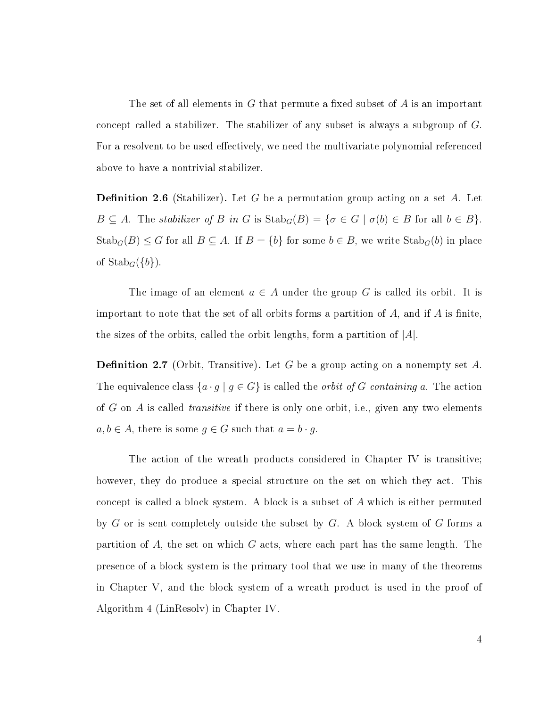The set of all elements in  $G$  that permute a fixed subset of  $A$  is an important concept called a stabilizer. The stabilizer of any subset is always a subgroup of G. For a resolvent to be used effectively, we need the multivariate polynomial referenced above to have a nontrivial stabilizer.

<span id="page-9-0"></span>**Definition 2.6** (Stabilizer). Let G be a permutation group acting on a set A. Let  $B \subseteq A$ . The stabilizer of B in G is  $\text{Stab}_G(B) = \{ \sigma \in G \mid \sigma(b) \in B \text{ for all } b \in B \}.$  $\text{Stab}_G(B) \leq G$  for all  $B \subseteq A$ . If  $B = \{b\}$  for some  $b \in B$ , we write  $\text{Stab}_G(b)$  in place of  $\mathrm{Stab}_G(\{b\})$ .

The image of an element  $a \in A$  under the group G is called its orbit. It is important to note that the set of all orbits forms a partition of  $A$ , and if  $A$  is finite, the sizes of the orbits, called the orbit lengths, form a partition of  $|A|$ .

**Definition 2.7** (Orbit, Transitive). Let G be a group acting on a nonempty set A. The equivalence class  $\{a \cdot g \mid g \in G\}$  is called the *orbit of G containing a*. The action of G on A is called *transitive* if there is only one orbit, i.e., given any two elements  $a, b \in A$ , there is some  $g \in G$  such that  $a = b \cdot g$ .

The action of the wreath products considered in Chapter [IV](#page-30-0) is transitive; however, they do produce a special structure on the set on which they act. This concept is called a block system. A block is a subset of A which is either permuted by  $G$  or is sent completely outside the subset by  $G$ . A block system of  $G$  forms a partition of  $A$ , the set on which  $G$  acts, where each part has the same length. The presence of a block system is the primary tool that we use in many of the theorems in Chapter [V,](#page-42-0) and the block system of a wreath product is used in the proof of Algorithm [4](#page-27-0) (LinResolv) in Chapter [IV.](#page-30-0)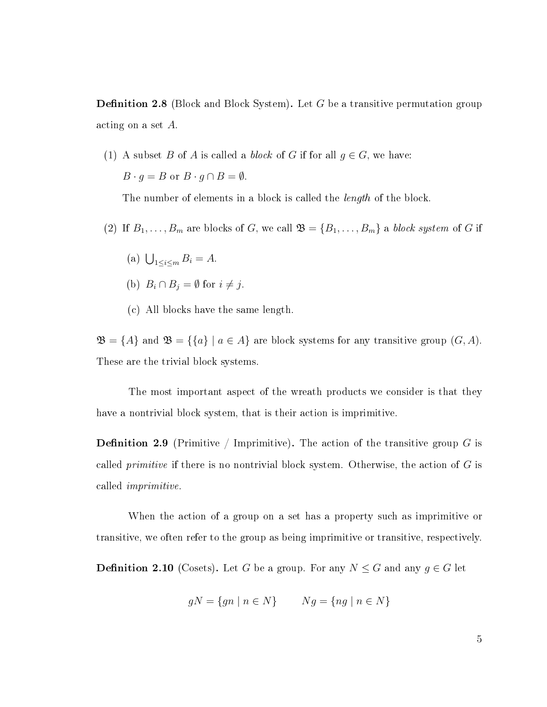<span id="page-10-0"></span>**Definition 2.8** (Block and Block System). Let G be a transitive permutation group acting on a set A.

(1) A subset B of A is called a *block* of G if for all  $g \in G$ , we have:  $B \cdot g = B$  or  $B \cdot g \cap B = \emptyset$ .

The number of elements in a block is called the *length* of the block.

- (2) If  $B_1, \ldots, B_m$  are blocks of G, we call  $\mathfrak{B} = \{B_1, \ldots, B_m\}$  a block system of G if
	- (a)  $\bigcup_{1 \le i \le m} B_i = A$ .
	- (b)  $B_i \cap B_j = \emptyset$  for  $i \neq j$ .
	- (c) All blocks have the same length.

 $\mathfrak{B} = \{A\}$  and  $\mathfrak{B} = \{\{a\} \mid a \in A\}$  are block systems for any transitive group  $(G, A)$ . These are the trivial block systems.

The most important aspect of the wreath products we consider is that they have a nontrivial block system, that is their action is imprimitive.

**Definition 2.9** (Primitive / Imprimitive). The action of the transitive group G is called *primitive* if there is no nontrivial block system. Otherwise, the action of  $G$  is called imprimitive.

When the action of a group on a set has a property such as imprimitive or transitive, we often refer to the group as being imprimitive or transitive, respectively.

**Definition 2.10** (Cosets). Let G be a group. For any  $N \leq G$  and any  $g \in G$  let

$$
gN = \{gn \mid n \in N\} \qquad Ng = \{ng \mid n \in N\}
$$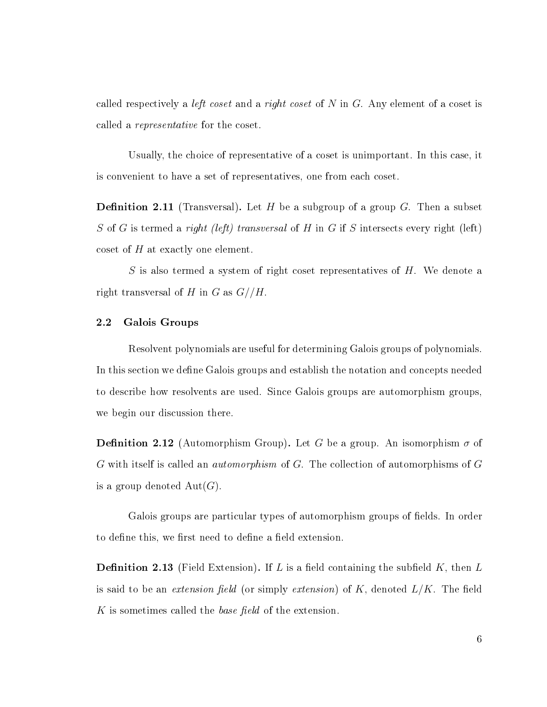called respectively a *left coset* and a right coset of N in G. Any element of a coset is called a representative for the coset.

Usually, the choice of representative of a coset is unimportant. In this case, it is convenient to have a set of representatives, one from each coset.

**Definition 2.11** (Transversal). Let H be a subgroup of a group G. Then a subset S of G is termed a right (left) transversal of H in G if S intersects every right (left) coset of H at exactly one element.

S is also termed a system of right coset representatives of  $H$ . We denote a right transversal of H in G as  $G//H$ .

#### <span id="page-11-0"></span>2.2 Galois Groups

Resolvent polynomials are useful for determining Galois groups of polynomials. In this section we define Galois groups and establish the notation and concepts needed to describe how resolvents are used. Since Galois groups are automorphism groups, we begin our discussion there.

**Definition 2.12** (Automorphism Group). Let G be a group. An isomorphism  $\sigma$  of G with itself is called an automorphism of G. The collection of automorphisms of G is a group denoted  $Aut(G)$ .

Galois groups are particular types of automorphism groups of fields. In order to define this, we first need to define a field extension.

**Definition 2.13** (Field Extension). If L is a field containing the subfield K, then L is said to be an extension field (or simply extension) of K, denoted  $L/K$ . The field K is sometimes called the *base field* of the extension.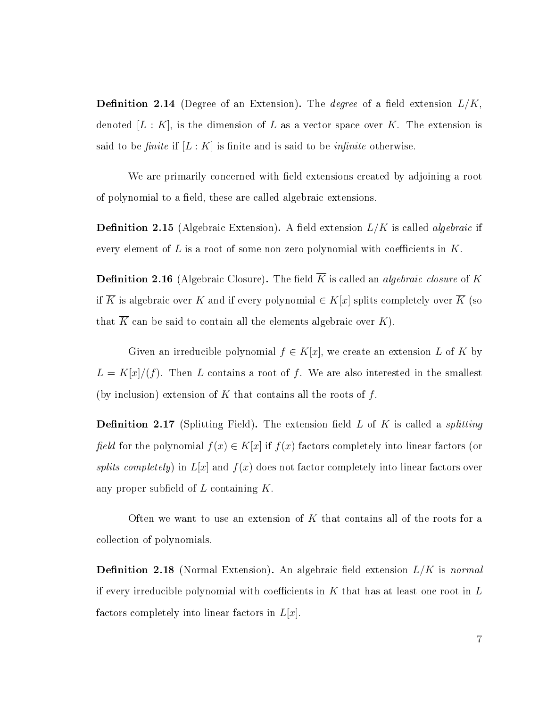**Definition 2.14** (Degree of an Extension). The *degree* of a field extension  $L/K$ . denoted  $[L: K]$ , is the dimension of L as a vector space over K. The extension is said to be finite if  $[L:K]$  is finite and is said to be *infinite* otherwise.

We are primarily concerned with field extensions created by adjoining a root of polynomial to a field, these are called algebraic extensions.

**Definition 2.15** (Algebraic Extension). A field extension  $L/K$  is called *algebraic* if every element of L is a root of some non-zero polynomial with coefficients in  $K$ .

<span id="page-12-0"></span>**Definition 2.16** (Algebraic Closure). The field  $\overline{K}$  is called an *algebraic closure* of K if  $\overline{K}$  is algebraic over K and if every polynomial  $\in K[x]$  splits completely over  $\overline{K}$  (so that  $\overline{K}$  can be said to contain all the elements algebraic over  $K$ ).

Given an irreducible polynomial  $f \in K[x]$ , we create an extension L of K by  $L = K[x]/(f)$ . Then L contains a root of f. We are also interested in the smallest (by inclusion) extension of  $K$  that contains all the roots of  $f$ .

**Definition 2.17** (Splitting Field). The extension field L of K is called a *splitting* field for the polynomial  $f(x) \in K[x]$  if  $f(x)$  factors completely into linear factors (or splits completely) in  $L[x]$  and  $f(x)$  does not factor completely into linear factors over any proper subfield of  $L$  containing  $K$ .

Often we want to use an extension of  $K$  that contains all of the roots for a collection of polynomials.

**Definition 2.18** (Normal Extension). An algebraic field extension  $L/K$  is normal if every irreducible polynomial with coefficients in  $K$  that has at least one root in  $L$ factors completely into linear factors in  $L[x]$ .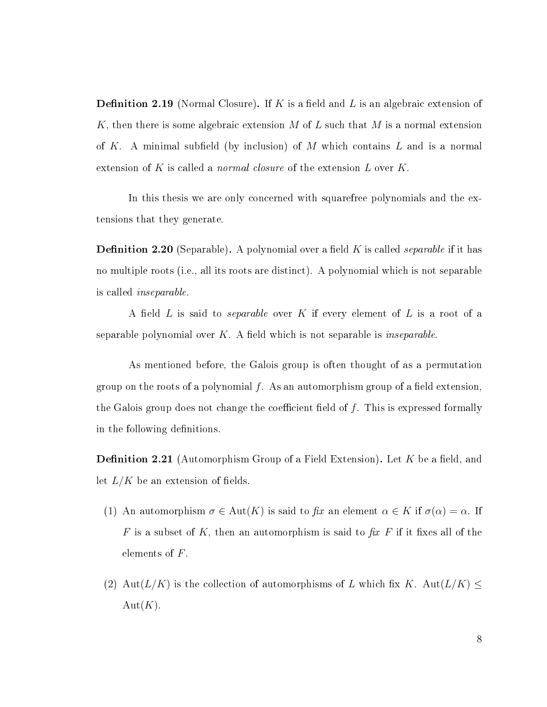**Definition 2.19** (Normal Closure). If K is a field and L is an algebraic extension of K, then there is some algebraic extension M of L such that M is a normal extension of K. A minimal subfield (by inclusion) of M which contains  $L$  and is a normal extension of K is called a *normal closure* of the extension  $L$  over  $K$ .

In this thesis we are only concerned with squarefree polynomials and the extensions that they generate.

**Definition 2.20** (Separable). A polynomial over a field K is called *separable* if it has no multiple roots (i.e., all its roots are distinct). A polynomial which is not separable is called inseparable.

A field L is said to *separable* over K if every element of L is a root of a separable polynomial over  $K$ . A field which is not separable is *inseparable*.

As mentioned before, the Galois group is often thought of as a permutation group on the roots of a polynomial  $f$ . As an automorphism group of a field extension, the Galois group does not change the coefficient field of  $f$ . This is expressed formally in the following definitions.

**Definition 2.21** (Automorphism Group of a Field Extension). Let K be a field, and let  $L/K$  be an extension of fields.

- (1) An automorphism  $\sigma \in Aut(K)$  is said to fix an element  $\alpha \in K$  if  $\sigma(\alpha) = \alpha$ . If F is a subset of K, then an automorphism is said to  $\hat{f}$ x F if it fixes all of the elements of F.
- (2) Aut $(L/K)$  is the collection of automorphisms of L which fix K. Aut $(L/K) \leq$  $Aut(K).$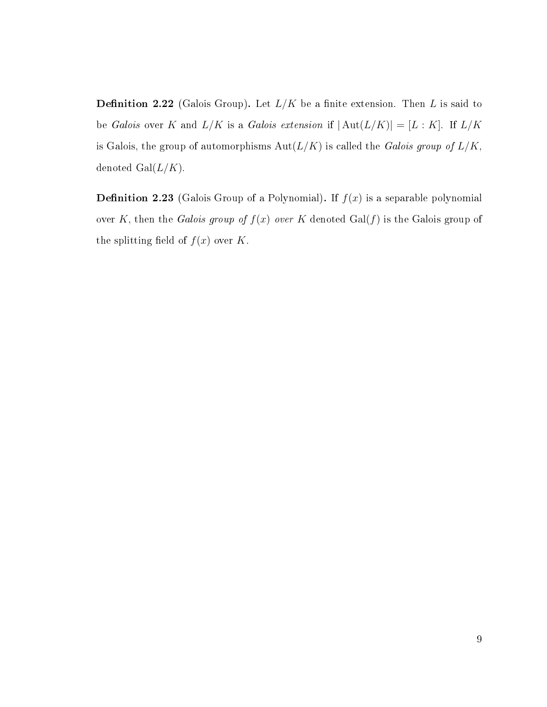**Definition 2.22** (Galois Group). Let  $L/K$  be a finite extension. Then L is said to be Galois over K and  $L/K$  is a Galois extension if  $|\text{Aut}(L/K)| = [L:K]$ . If  $L/K$ is Galois, the group of automorphisms  $Aut(L/K)$  is called the Galois group of  $L/K$ , denoted  $Gal(L/K)$ .

**Definition 2.23** (Galois Group of a Polynomial). If  $f(x)$  is a separable polynomial over K, then the Galois group of  $f(x)$  over K denoted Gal(f) is the Galois group of the splitting field of  $f(x)$  over K.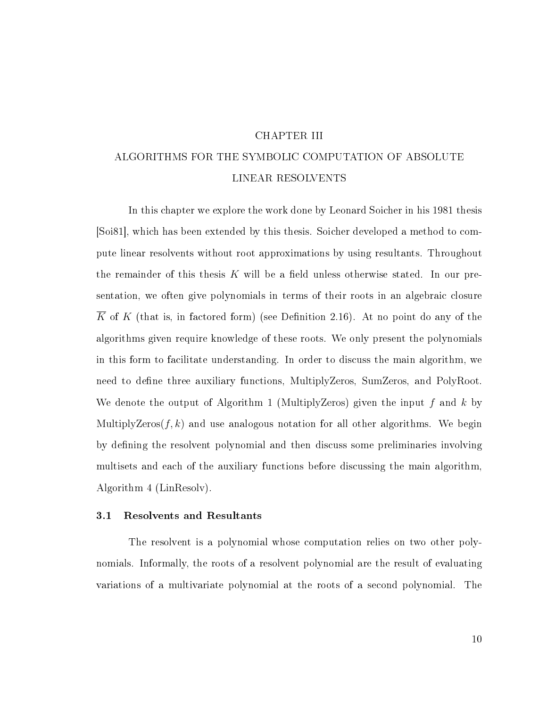#### CHAPTER III

# <span id="page-15-0"></span>ALGORITHMS FOR THE SYMBOLIC COMPUTATION OF ABSOLUTE LINEAR RESOLVENTS

In this chapter we explore the work done by Leonard Soicher in his 1981 thesis [\[Soi81\]](#page-54-4), which has been extended by this thesis. Soicher developed a method to compute linear resolvents without root approximations by using resultants. Throughout the remainder of this thesis K will be a field unless otherwise stated. In our presentation, we often give polynomials in terms of their roots in an algebraic closure  $\overline{K}$  of K (that is, in factored form) (see Definition [2.16\)](#page-12-0). At no point do any of the algorithms given require knowledge of these roots. We only present the polynomials in this form to facilitate understanding. In order to discuss the main algorithm, we need to define three auxiliary functions, MultiplyZeros, SumZeros, and PolyRoot. We denote the output of Algorithm [1](#page-19-0) (MultiplyZeros) given the input f and k by MultiplyZeros $(f, k)$  and use analogous notation for all other algorithms. We begin by defining the resolvent polynomial and then discuss some preliminaries involving multisets and each of the auxiliary functions before discussing the main algorithm, Algorithm [4](#page-27-0) (LinResolv).

#### <span id="page-15-1"></span>3.1 Resolvents and Resultants

The resolvent is a polynomial whose computation relies on two other polynomials. Informally, the roots of a resolvent polynomial are the result of evaluating variations of a multivariate polynomial at the roots of a second polynomial. The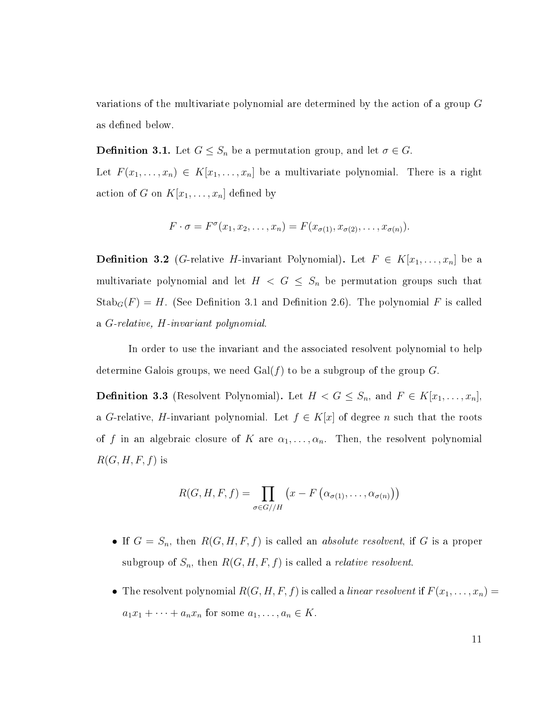variations of the multivariate polynomial are determined by the action of a group G as defined below.

<span id="page-16-0"></span>**Definition 3.1.** Let  $G \leq S_n$  be a permutation group, and let  $\sigma \in G$ .

Let  $F(x_1, \ldots, x_n) \in K[x_1, \ldots, x_n]$  be a multivariate polynomial. There is a right action of G on  $K[x_1, \ldots, x_n]$  defined by

$$
F \cdot \sigma = F^{\sigma}(x_1, x_2, \dots, x_n) = F(x_{\sigma(1)}, x_{\sigma(2)}, \dots, x_{\sigma(n)}).
$$

**Definition 3.2** (G-relative H-invariant Polynomial). Let  $F \in K[x_1, \ldots, x_n]$  be a multivariate polynomial and let  $H < G \leq S_n$  be permutation groups such that  $\text{Stab}_G(F) = H$ . (See Definition [3.1](#page-16-0) and Definition [2.6\)](#page-9-0). The polynomial F is called a G-relative, H-invariant polynomial.

In order to use the invariant and the associated resolvent polynomial to help determine Galois groups, we need  $Gal(f)$  to be a subgroup of the group G.

<span id="page-16-1"></span>**Definition 3.3** (Resolvent Polynomial). Let  $H < G \leq S_n$ , and  $F \in K[x_1, \ldots, x_n]$ , a G-relative, H-invariant polynomial. Let  $f \in K[x]$  of degree n such that the roots of f in an algebraic closure of K are  $\alpha_1, \ldots, \alpha_n$ . Then, the resolvent polynomial  $R(G, H, F, f)$  is

$$
R(G, H, F, f) = \prod_{\sigma \in G//H} (x - F(\alpha_{\sigma(1)}, \dots, \alpha_{\sigma(n)}))
$$

- If  $G = S_n$ , then  $R(G, H, F, f)$  is called an *absolute resolvent*, if G is a proper subgroup of  $S_n$ , then  $R(G, H, F, f)$  is called a *relative resolvent*.
- The resolvent polynomial  $R(G, H, F, f)$  is called a *linear resolvent* if  $F(x_1, \ldots, x_n) =$  $a_1x_1 + \cdots + a_nx_n$  for some  $a_1, \ldots, a_n \in K$ .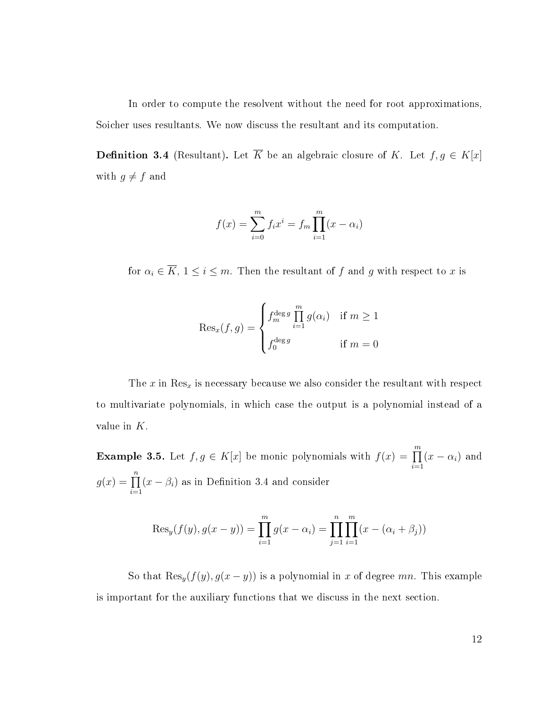In order to compute the resolvent without the need for root approximations, Soicher uses resultants. We now discuss the resultant and its computation.

<span id="page-17-0"></span>**Definition 3.4** (Resultant). Let  $\overline{K}$  be an algebraic closure of K. Let  $f, g \in K[x]$ with  $g \neq f$  and

$$
f(x) = \sum_{i=0}^{m} f_i x^i = f_m \prod_{i=1}^{m} (x - \alpha_i)
$$

for  $\alpha_i \in \overline{K}$ ,  $1 \leq i \leq m$ . Then the resultant of f and g with respect to x is

$$
\text{Res}_x(f,g) = \begin{cases} f_m^{\text{deg } g} \prod_{i=1}^m g(\alpha_i) & \text{if } m \ge 1\\ f_0^{\text{deg } g} & \text{if } m = 0 \end{cases}
$$

The  $x$  in  $\text{Res}_x$  is necessary because we also consider the resultant with respect to multivariate polynomials, in which case the output is a polynomial instead of a value in K.

<span id="page-17-1"></span>**Example 3.5.** Let  $f, g \in K[x]$  be monic polynomials with  $f(x) = \prod^{m}$  $i=1$  $(x - \alpha_i)$  and  $g(x) = \prod^n$  $i=1$  $(x - \beta_i)$  as in Definition [3.4](#page-17-0) and consider

$$
Res_y(f(y), g(x - y)) = \prod_{i=1}^{m} g(x - \alpha_i) = \prod_{j=1}^{n} \prod_{i=1}^{m} (x - (\alpha_i + \beta_j))
$$

So that  $\text{Res}_y(f(y), g(x-y))$  is a polynomial in x of degree mn. This example is important for the auxiliary functions that we discuss in the next section.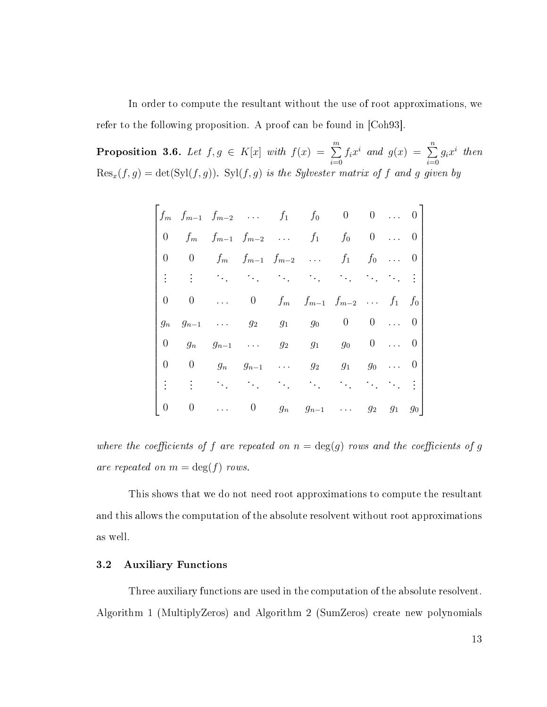In order to compute the resultant without the use of root approximations, we refer to the following proposition. A proof can be found in [\[Coh93\]](#page-54-5).

**Proposition 3.6.** Let  $f, g \in K[x]$  with  $f(x) = \sum^{m}$  $i=0$  $f_ix^i$  and  $g(x) = \sum^n$  $i=0$  $g_ix^i$  then  $\text{Res}_x(f,g) = \det(\text{Syl}(f,g))$ .  $\text{Syl}(f,g)$  is the Sylvester matrix of f and g given by

|       |                |                           |  | $f_m$ $f_{m-1}$ $f_{m-2}$ $f_1$ $f_0$ 0 0  0 |  |                          |  |
|-------|----------------|---------------------------|--|----------------------------------------------|--|--------------------------|--|
|       | 0 $f_m$        |                           |  | $f_{m-1}$ $f_{m-2}$ $f_1$ $f_0$ 0            |  | $\overline{\phantom{0}}$ |  |
|       |                |                           |  | 0 0 $f_m$ $f_{m-1}$ $f_{m-2}$ $f_1$ $f_0$ 0  |  |                          |  |
|       |                |                           |  | 电电电压 化二硫化物 医心包 化二硫化物                         |  |                          |  |
|       |                |                           |  | 0 0  0 $f_m$ $f_{m-1}$ $f_{m-2}$ $f_1$ $f_0$ |  |                          |  |
| $g_n$ |                |                           |  | $g_{n-1}$ $g_2$ $g_1$ $g_0$ 0 0  0           |  |                          |  |
|       | $0 \qquad g_n$ |                           |  | $g_{n-1}$ $g_2$ $g_1$ $g_0$ 0  0             |  |                          |  |
|       |                |                           |  | 0 0 $g_n$ $g_{n-1}$ $g_2$ $g_1$ $g_0$        |  | $\overline{\phantom{0}}$ |  |
|       |                | <b>1000 年 1000 年 1000</b> |  | $\alpha_1=\alpha_2=\alpha_1$ .               |  |                          |  |
|       |                |                           |  | 0 0  0 $g_n$ $g_{n-1}$ $g_2$ $g_1$ $g_0$     |  |                          |  |

where the coefficients of f are repeated on  $n = \deg(g)$  rows and the coefficients of g are repeated on  $m = \deg(f)$  rows.

This shows that we do not need root approximations to compute the resultant and this allows the computation of the absolute resolvent without root approximations as well.

#### <span id="page-18-0"></span>3.2 Auxiliary Functions

Three auxiliary functions are used in the computation of the absolute resolvent. Algorithm [1](#page-19-0) (MultiplyZeros) and Algorithm [2](#page-20-0) (SumZeros) create new polynomials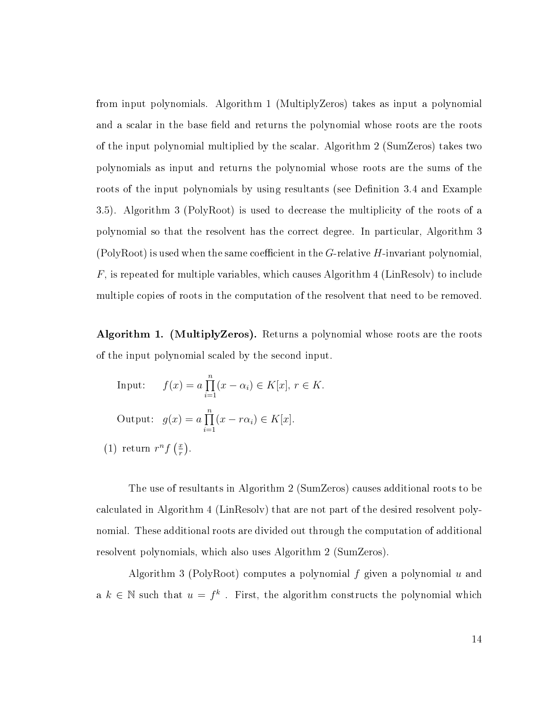from input polynomials. Algorithm [1](#page-19-0) (MultiplyZeros) takes as input a polynomial and a scalar in the base field and returns the polynomial whose roots are the roots of the input polynomial multiplied by the scalar. Algorithm [2](#page-20-0) (SumZeros) takes two polynomials as input and returns the polynomial whose roots are the sums of the roots of the input polynomials by using resultants (see Definition [3.4](#page-17-0) and Example [3.5\)](#page-17-1). Algorithm [3](#page-21-1) (PolyRoot) is used to decrease the multiplicity of the roots of a polynomial so that the resolvent has the correct degree. In particular, Algorithm [3](#page-21-1) (PolyRoot) is used when the same coefficient in the  $G$ -relative  $H$ -invariant polynomial.  $F$ , is repeated for multiple variables, which causes Algorithm [4](#page-27-0) (LinResolv) to include multiple copies of roots in the computation of the resolvent that need to be removed.

<span id="page-19-0"></span>Algorithm 1. (MultiplyZeros). Returns a polynomial whose roots are the roots of the input polynomial scaled by the second input.

Input: 
$$
f(x) = a \prod_{i=1}^{n} (x - \alpha_i) \in K[x], r \in K
$$
.  
\nOutput:  $g(x) = a \prod_{i=1}^{n} (x - r\alpha_i) \in K[x]$ .  
\n(1) return  $r^n f\left(\frac{x}{r}\right)$ .

The use of resultants in Algorithm [2](#page-20-0) (SumZeros) causes additional roots to be calculated in Algorithm [4](#page-27-0) (LinResolv) that are not part of the desired resolvent polynomial. These additional roots are divided out through the computation of additional resolvent polynomials, which also uses Algorithm [2](#page-20-0) (SumZeros).

Algorithm [3](#page-21-1) (PolyRoot) computes a polynomial f given a polynomial  $u$  and a  $k \in \mathbb{N}$  such that  $u = f^k$ . First, the algorithm constructs the polynomial which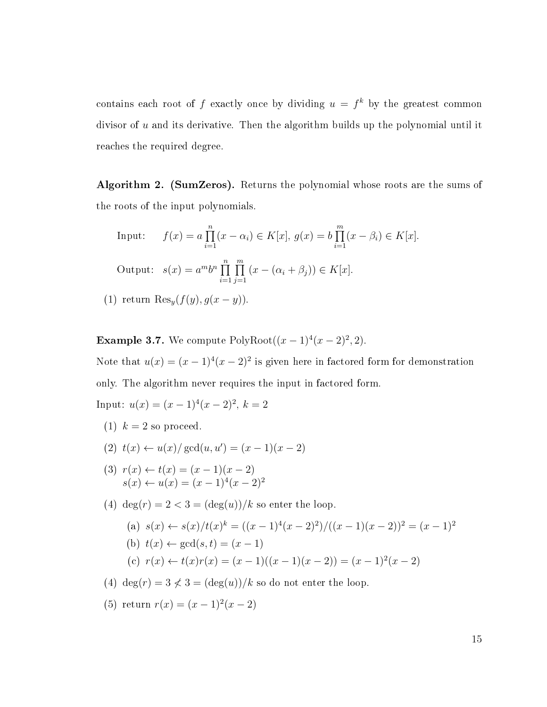contains each root of f exactly once by dividing  $u = f^k$  by the greatest common divisor of  $u$  and its derivative. Then the algorithm builds up the polynomial until it reaches the required degree.

<span id="page-20-0"></span>Algorithm 2. (SumZeros). Returns the polynomial whose roots are the sums of the roots of the input polynomials.

Input: 
$$
f(x) = a \prod_{i=1}^{n} (x - \alpha_i) \in K[x], g(x) = b \prod_{i=1}^{m} (x - \beta_i) \in K[x].
$$
  
Output: 
$$
s(x) = a^m b^n \prod_{i=1}^{n} \prod_{j=1}^{m} (x - (\alpha_i + \beta_j)) \in K[x].
$$
  
(1) return 
$$
Res_y(f(y), g(x - y)).
$$

**Example 3.7.** We compute  $PolyRoot((x-1)^{4}(x-2)^{2}, 2)$ .

Note that  $u(x) = (x-1)^4(x-2)^2$  is given here in factored form for demonstration only. The algorithm never requires the input in factored form.

Input:  $u(x) = (x-1)^4(x-2)^2$ ,  $k = 2$ 

- (1)  $k = 2$  so proceed.
- (2)  $t(x) \leftarrow u(x)/\gcd(u, u') = (x 1)(x 2)$
- (3)  $r(x) \leftarrow t(x) = (x 1)(x 2)$  $s(x) \leftarrow u(x) = (x-1)^4(x-2)^2$
- (4) deg $(r) = 2 < 3 = (\deg(u))/k$  so enter the loop.

(a) 
$$
s(x) \leftarrow s(x)/t(x)^k = ((x-1)^4(x-2)^2)/((x-1)(x-2))^2 = (x-1)^2
$$
  
\n(b)  $t(x) \leftarrow \gcd(s,t) = (x-1)$   
\n(c)  $r(x) \leftarrow t(x)r(x) = (x-1)((x-1)(x-2)) = (x-1)^2(x-2)$ 

- (4) deg(r) =  $3 \nless 3 = (\deg(u))/k$  so do not enter the loop.
- (5) return  $r(x) = (x-1)^2(x-2)$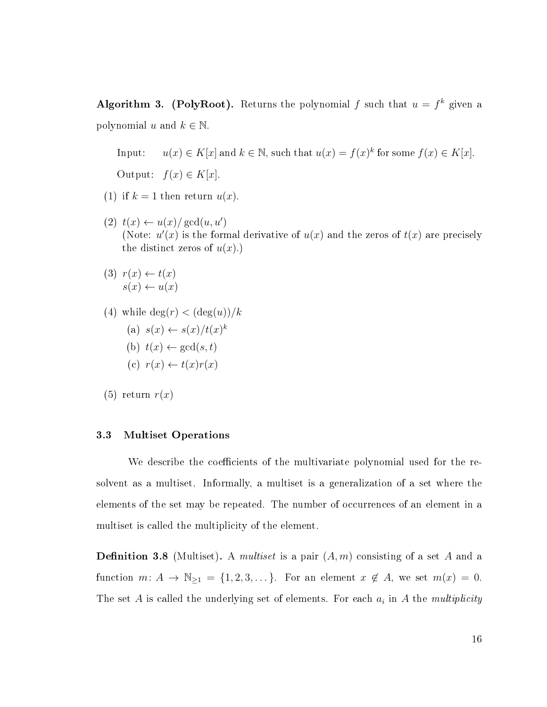<span id="page-21-1"></span>Algorithm 3. (PolyRoot). Returns the polynomial f such that  $u = f^k$  given a polynomial u and  $k \in \mathbb{N}$ .

Input:  $u(x) \in K[x]$  and  $k \in \mathbb{N}$ , such that  $u(x) = f(x)^k$  for some  $f(x) \in K[x]$ . Output:  $f(x) \in K[x]$ .

- (1) if  $k = 1$  then return  $u(x)$ .
- $(2)$   $t(x) \leftarrow u(x)/\gcd(u, u')$ (Note:  $u'(x)$  is the formal derivative of  $u(x)$  and the zeros of  $t(x)$  are precisely the distinct zeros of  $u(x)$ .)
- $(3)$   $r(x) \leftarrow t(x)$  $s(x) \leftarrow u(x)$
- (4) while  $\deg(r) < (\deg(u))/k$ 
	- (a)  $s(x) \leftarrow s(x)/t(x)^k$ (b)  $t(x) \leftarrow \gcd(s, t)$
	- (c)  $r(x) \leftarrow t(x)r(x)$
- $(5)$  return  $r(x)$

#### <span id="page-21-0"></span>3.3 Multiset Operations

We describe the coefficients of the multivariate polynomial used for the resolvent as a multiset. Informally, a multiset is a generalization of a set where the elements of the set may be repeated. The number of occurrences of an element in a multiset is called the multiplicity of the element.

**Definition 3.8** (Multiset). A *multiset* is a pair  $(A, m)$  consisting of a set A and a function  $m: A \to \mathbb{N}_{\geq 1} = \{1, 2, 3, \dots\}$ . For an element  $x \notin A$ , we set  $m(x) = 0$ . The set A is called the underlying set of elements. For each  $a_i$  in A the multiplicity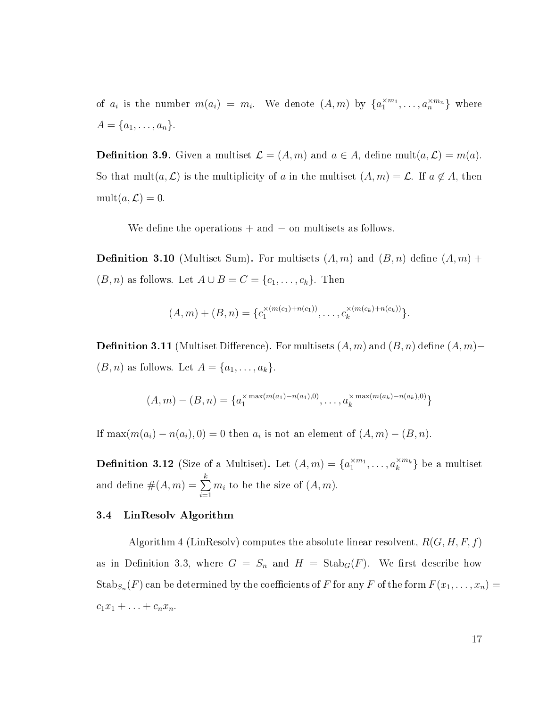of  $a_i$  is the number  $m(a_i) = m_i$ . We denote  $(A, m)$  by  $\{a_1^{\times m_1}, \ldots, a_n^{\times m_n}\}$  where  $A = \{a_1, \ldots, a_n\}.$ 

**Definition 3.9.** Given a multiset  $\mathcal{L} = (A, m)$  and  $a \in A$ , define mult $(a, \mathcal{L}) = m(a)$ . So that mult $(a, \mathcal{L})$  is the multiplicity of a in the multiset  $(A, m) = \mathcal{L}$ . If  $a \notin A$ , then  $mult(a, \mathcal{L}) = 0.$ 

We define the operations  $+$  and  $-$  on multisets as follows.

<span id="page-22-1"></span>**Definition 3.10** (Multiset Sum). For multisets  $(A, m)$  and  $(B, n)$  define  $(A, m)$  +  $(B, n)$  as follows. Let  $A \cup B = C = \{c_1, \ldots, c_k\}$ . Then

$$
(A,m) + (B,n) = \{c_1^{\times (m(c_1) + n(c_1))}, \dots, c_k^{\times (m(c_k) + n(c_k))}\}.
$$

<span id="page-22-2"></span>**Definition 3.11** (Multiset Difference). For multisets  $(A, m)$  and  $(B, n)$  define  $(A, m)$ –  $(B, n)$  as follows. Let  $A = \{a_1, \ldots, a_k\}.$ 

$$
(A,m)-(B,n)=\{a_1^{\times \max(m(a_1)-n(a_1),0)},\ldots,a_k^{\times \max(m(a_k)-n(a_k),0)}\}
$$

If  $\max(m(a_i) - n(a_i), 0) = 0$  then  $a_i$  is not an element of  $(A, m) - (B, n)$ .

**Definition 3.12** (Size of a Multiset). Let  $(A,m) = \{a_1^{\times m_1}, \ldots, a_k^{\times m_k}\}$  be a multiset and define  $\#(A,m)=\sum\limits_{k=1}^k\frac{1}{k}$  $i=1$  $m_i$  to be the size of  $(A, m)$ .

#### <span id="page-22-0"></span>3.4 LinResolv Algorithm

Algorithm [4](#page-27-0) (LinResolv) computes the absolute linear resolvent,  $R(G, H, F, f)$ as in Definition [3.3,](#page-16-1) where  $G = S_n$  and  $H = \text{Stab}_G(F)$ . We first describe how  $\operatorname{Stab}_{S_n}(F)$  can be determined by the coefficients of  $F$  for any  $F$  of the form  $F(x_1,\ldots,x_n)=$  $c_1x_1 + \ldots + c_nx_n$ .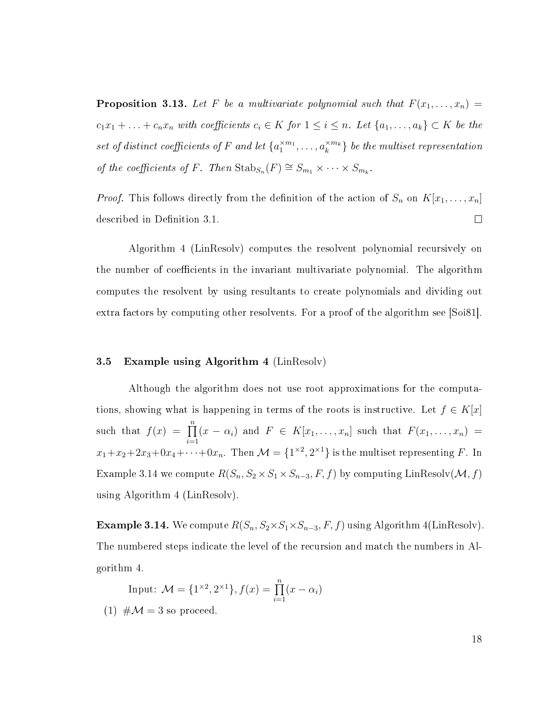<span id="page-23-2"></span>**Proposition 3.13.** Let F be a multivariate polynomial such that  $F(x_1, \ldots, x_n)$  =  $c_1x_1 + \ldots + c_nx_n$  with coefficients  $c_i \in K$  for  $1 \leq i \leq n$ . Let  $\{a_1, \ldots, a_k\} \subset K$  be the set of distinct coefficients of F and let  $\{a_1^{\times m_1}, \ldots, a_k^{\times m_k}\}$  be the multiset representation of the coefficients of F. Then  $\text{Stab}_{S_n}(F) \cong S_{m_1} \times \cdots \times S_{m_k}$ .

*Proof.* This follows directly from the definition of the action of  $S_n$  on  $K[x_1, \ldots, x_n]$ described in Definition [3.1.](#page-16-0)  $\Box$ 

Algorithm [4](#page-27-0) (LinResolv) computes the resolvent polynomial recursively on the number of coefficients in the invariant multivariate polynomial. The algorithm computes the resolvent by using resultants to create polynomials and dividing out extra factors by computing other resolvents. For a proof of the algorithm see [\[Soi81\]](#page-54-4).

#### <span id="page-23-0"></span>3.5 Example using Algorithm [4](#page-27-0) (LinResolv)

Although the algorithm does not use root approximations for the computations, showing what is happening in terms of the roots is instructive. Let  $f \in K[x]$ such that  $f(x) = \prod_{n=1}^n$  $i=1$  $(x - \alpha_i)$  and  $F \in K[x_1, \ldots, x_n]$  such that  $F(x_1, \ldots, x_n)$  $x_1+x_2+2x_3+0x_4+\cdots+0x_n$ . Then  $\mathcal{M} = \{1^{\times 2}, 2^{\times 1}\}$  is the multiset representing F. In Example [3.14](#page-23-1) we compute  $R(S_n, S_2 \times S_1 \times S_{n-3}, F, f)$  by computing LinResolv $(\mathcal{M}, f)$ using Algorithm [4](#page-27-0) (LinResolv).

<span id="page-23-1"></span>Example 3.14. We compute  $R(S_n, S_2 \times S_1 \times S_{n-3}, F, f)$  using Algorithm [4\(](#page-27-0)LinResolv). The numbered steps indicate the level of the recursion and match the numbers in Algorithm [4.](#page-27-0)

Input: 
$$
\mathcal{M} = \{1^{\times 2}, 2^{\times 1}\}, f(x) = \prod_{i=1}^{n} (x - \alpha_i)
$$

 $(1)$  # $\mathcal{M} = 3$  so proceed.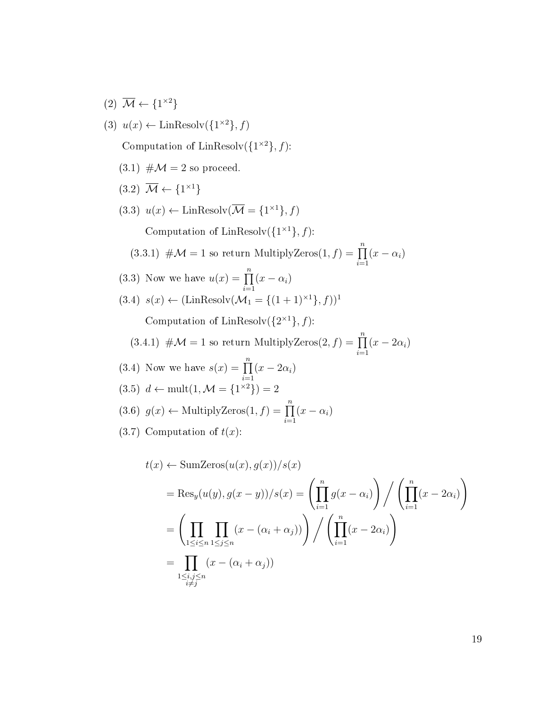$(2)$   $\overline{\mathcal{M}} \leftarrow \{1^{\times 2}\}\$ 

(3) 
$$
u(x) \leftarrow \text{LinResolv}(\lbrace 1^{\times 2} \rbrace, f)
$$

Computation of LinResolv $({1^{\times 2}}, f)$ :

- $(3.1)$  # $\mathcal{M} = 2$  so proceed.
- $(3.2) \overline{\mathcal{M}} \leftarrow \{1^{\times 1}\}$
- $(3.3)$   $u(x) \leftarrow$  LinResolv $(\overline{\mathcal{M}} = \{1^{\times 1}\}, f)$

Computation of LinResolv $({1<sup>{\times} 1</sup>}, f)$ :

- $(3.3.1)$   $\#\mathcal{M}=1$  so return MultiplyZeros $(1, f) = \prod_{n=1}^{n}$  $i=1$  $(x - \alpha_i)$
- (3.3) Now we have  $u(x) = \prod_{n=1}^n$  $i=1$  $(x - \alpha_i)$
- $(3.4)$   $s(x) \leftarrow (\text{LinResolv}(\mathcal{M}_1 = \{(1+1)^{\times 1}\}, f))^1$

Computation of LinResolv $({2^{\times 1}}, f)$ :

- $(3.4.1)$   $\#\mathcal{M}=1$  so return MultiplyZeros $(2, f) = \prod_{n=1}^{n}$  $i=1$  $(x-2\alpha_i)$
- (3.4) Now we have  $s(x) = \prod_{n=1}^{\infty}$  $\frac{i=1}{i}$  $(x-2\alpha_i)$

$$
(3.5) d \leftarrow \text{mult}(1, \mathcal{M} = \{1^{\times 2}\}) = 2
$$

- (3.6)  $g(x) \leftarrow \text{MultiplyZeros}(1, f) = \prod^{n}$  $i=1$  $(x - \alpha_i)$
- (3.7) Computation of  $t(x)$ :

$$
t(x) \leftarrow \text{SumZeros}(u(x), g(x))/s(x)
$$
  
= Res<sub>y</sub>(u(y), g(x - y))/s(x) =  $\left(\prod_{i=1}^{n} g(x - \alpha_i)\right) / \left(\prod_{i=1}^{n} (x - 2\alpha_i)\right)$   
=  $\left(\prod_{1 \le i \le n} \prod_{1 \le j \le n} (x - (\alpha_i + \alpha_j))\right) / \left(\prod_{i=1}^{n} (x - 2\alpha_i)\right)$   
=  $\prod_{\substack{1 \le i,j \le n \\ i \ne j}} (x - (\alpha_i + \alpha_j))$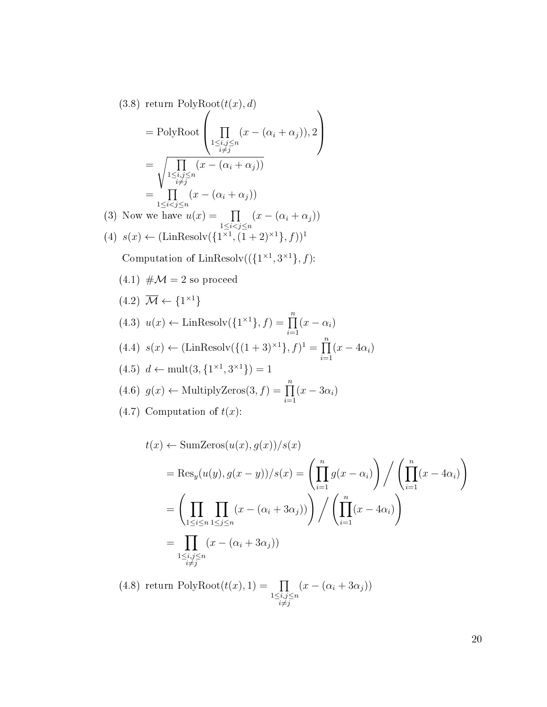$(3.8)$  return PolyRoot $(t(x), d)$ 

$$
= PolyRoot\left(\prod_{\substack{1\le i,j\le n\\i\neq j}}(x-(\alpha_i+\alpha_j)),2\right)
$$

$$
=\sqrt{\prod_{\substack{1\le i,j\le n\\i\neq j}}(x-(\alpha_i+\alpha_j))}
$$

$$
=\prod_{1\le i
$$

(3) Now we have 
$$
u(x) = \prod_{1 \le i < j \le n} (x - (\alpha_i + \alpha_j))
$$
  
(4)  $s(x) \leftarrow (\text{LinResolv}(\{1^{\times 1}, (1+2)^{\times 1}\}, f))^1$ 

Computation of LinResolv $((\{1^{\times 1}, 3^{\times 1}\}, f)$ :

- $(4.1)$  # $\mathcal{M} = 2$  so proceed
- $(4.2) \overline{\mathcal{M}} \leftarrow \{1^{\times 1}\}$  $(4.3)$   $u(x) \leftarrow \text{LinResolv}(\{1^{\times 1}\}, f) = \prod^{n}$  $i=1$  $(x - \alpha_i)$  $(4.4)$   $s(x) \leftarrow (\text{LinResolv}(\{(1+3)^{x1}\}, f)^1 = \prod^n$  $i=1$  $(x-4\alpha_i)$  $(4.5)$   $d \leftarrow \text{mult}(3, \{1^{\times 1}, 3^{\times 1}\}) = 1$  $(4.6)$   $g(x) \leftarrow$  MultiplyZeros $(3, f) = \prod_{n=1}^n$  $i=1$  $(x-3\alpha_i)$ (4.7) Computation of  $t(x)$ :

$$
t(x) \leftarrow \text{SumZeros}(u(x), g(x))/s(x)
$$
  
= Res<sub>y</sub>(u(y), g(x - y))/s(x) =  $\left(\prod_{i=1}^{n} g(x - \alpha_i)\right) / \left(\prod_{i=1}^{n} (x - 4\alpha_i)\right)$   
=  $\left(\prod_{1 \le i \le n} \prod_{1 \le j \le n} (x - (\alpha_i + 3\alpha_j))\right) / \left(\prod_{i=1}^{n} (x - 4\alpha_i)\right)$   
=  $\prod_{\substack{1 \le i,j \le n \\ i \ne j}} (x - (\alpha_i + 3\alpha_j))$ 

 $(4.8)$  return PolyRoot $(t(x), 1) = \prod$  $1\leq i,j\leq n$  $i \neq j$  $(x - (\alpha_i + 3\alpha_j))$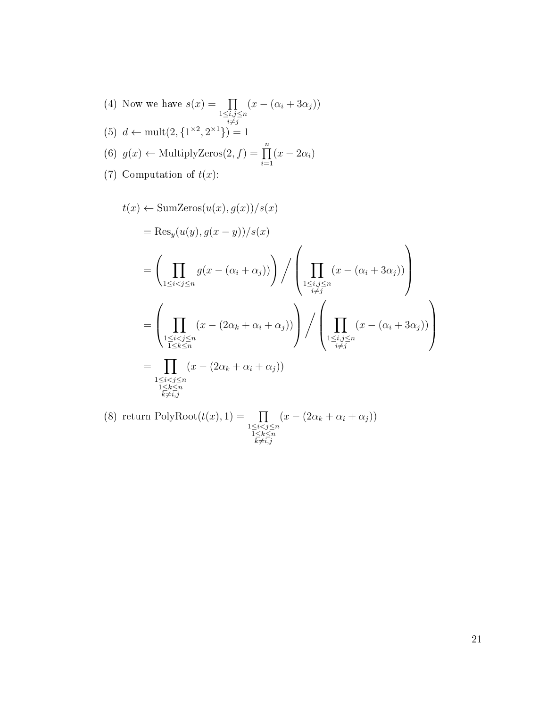\n- (4) Now we have 
$$
s(x) = \prod_{\substack{1 \leq i,j \leq n \\ i \neq j}} (x - (\alpha_i + 3\alpha_j))
$$
\n- (5)  $d \leftarrow \text{mult}(2, \{1^{\times 2}, 2^{\times 1}\}) = 1$
\n- (6)  $g(x) \leftarrow \text{MultiplyZeros}(2, f) = \prod_{i=1}^{n} (x - 2\alpha_i)$
\n- (7) Computation of  $t(x)$ :
\n

$$
t(x) \leftarrow \text{SumZeros}(u(x), g(x))/s(x)
$$
  
= Res<sub>y</sub>(u(y), g(x - y))/s(x)  
= 
$$
\left(\prod_{1 \le i < j \le n} g(x - (\alpha_i + \alpha_j))\right) / \left(\prod_{1 \le i, j \le n} (x - (\alpha_i + 3\alpha_j))\right)
$$
  
= 
$$
\left(\prod_{\substack{1 \le i < j \le n \\ 1 \le k \le n}} (x - (2\alpha_k + \alpha_i + \alpha_j))\right) / \left(\prod_{\substack{1 \le i, j \le n \\ i \ne j}} (x - (\alpha_i + 3\alpha_j))\right)
$$
  
= 
$$
\prod_{\substack{1 \le i < j \le n \\ 1 \le k \le n \\ k \ne i,j}} (x - (2\alpha_k + \alpha_i + \alpha_j))
$$

(8) return PolyRoot $(t(x), 1) = \prod$  $1 \leq i < j \leq n$  $\frac{1}{k\neq i,j}$  $(x - (2\alpha_k + \alpha_i + \alpha_j))$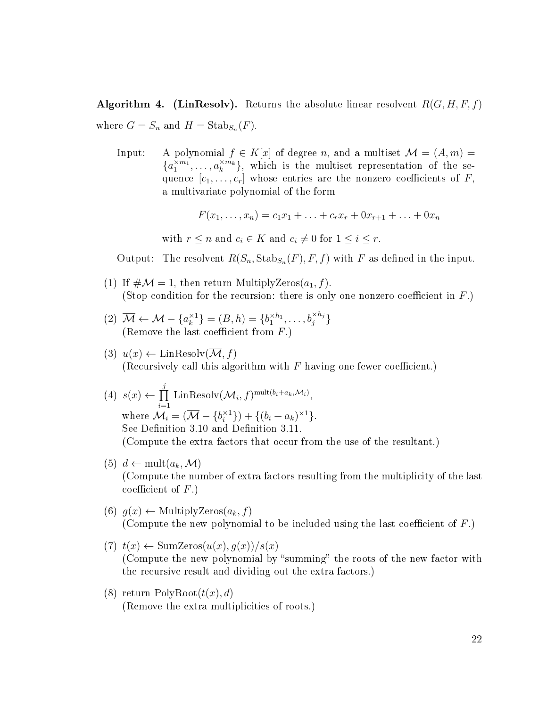<span id="page-27-0"></span>**Algorithm 4.** (LinResolv). Returns the absolute linear resolvent  $R(G, H, F, f)$ where  $G = S_n$  and  $H = \text{Stab}_{S_n}(F)$ .

Input: A polynomial  $f \in K[x]$  of degree n, and a multiset  $\mathcal{M} = (A, m)$  ${a_1^{\times m_1}, \ldots, a_k^{\times m_k}}$ , which is the multiset representation of the sequence  $[c_1, \ldots, c_r]$  whose entries are the nonzero coefficients of F, a multivariate polynomial of the form

$$
F(x_1, \ldots, x_n) = c_1 x_1 + \ldots + c_r x_r + 0 x_{r+1} + \ldots + 0 x_n
$$

with  $r \leq n$  and  $c_i \in K$  and  $c_i \neq 0$  for  $1 \leq i \leq r$ .

Output: The resolvent  $R(S_n, \text{Stab}_{S_n}(F), F, f)$  with F as defined in the input.

- (1) If  $\#\mathcal{M}=1$ , then return MultiplyZeros $(a_1, f)$ . (Stop condition for the recursion: there is only one nonzero coefficient in  $F$ .)
- $(2)$   $\overline{\mathcal{M}} \leftarrow \mathcal{M} \{a_k^{\times 1}\}$  $\{k^{\times 1}\} = (B, h) = \{b_1^{\times h_1}, \dots, b_j^{\times h_j}\}$ (Remove the last coefficient from  $F$ .)
- (3)  $u(x) \leftarrow \text{LinResolv}(\overline{\mathcal{M}}, f)$ (Recursively call this algorithm with  $F$  having one fewer coefficient.)
- $(4) s(x) \leftarrow \prod$ j  $\frac{i=1}{i}$ Lin $\mathrm{Resolv}(\mathcal{M}_i,f)^{\mathrm{mult}(b_i+a_k,\mathcal{M}_i)},$ where  $\mathcal{M}_i = (\overline{\mathcal{M}} - \{b_i^{\times 1}$  $_{i}^{\times 1}\}) + \{(b_{i} + a_{k})^{\times 1}\}.$ See Definition [3.10](#page-22-1) and Definition [3.11.](#page-22-2) (Compute the extra factors that occur from the use of the resultant.)
- $(5)$  d  $\leftarrow$  mult $(a_k, \mathcal{M})$ (Compute the number of extra factors resulting from the multiplicity of the last coefficient of  $F$ .)
- (6)  $g(x) \leftarrow$  MultiplyZeros $(a_k, f)$ (Compute the new polynomial to be included using the last coefficient of  $F$ .)
- (7)  $t(x) \leftarrow \text{SumZeros}(u(x), q(x))/s(x)$ (Compute the new polynomial by "summing" the roots of the new factor with the recursive result and dividing out the extra factors.)
- (8) return  $PolyRoot(t(x), d)$ (Remove the extra multiplicities of roots.)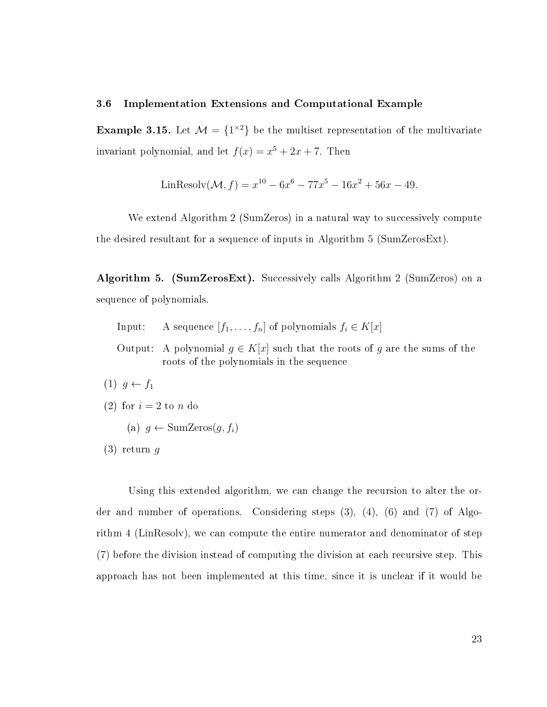#### <span id="page-28-0"></span>3.6 Implementation Extensions and Computational Example

**Example 3.15.** Let  $\mathcal{M} = \{1^{\times 2}\}\$ be the multiset representation of the multivariate invariant polynomial, and let  $f(x) = x^5 + 2x + 7$ . Then

$$
LinResolv(\mathcal{M}, f) = x^{10} - 6x^6 - 77x^5 - 16x^2 + 56x - 49.
$$

We extend Algorithm [2](#page-20-0) (SumZeros) in a natural way to successively compute the desired resultant for a sequence of inputs in Algorithm [5](#page-28-1) (SumZerosExt).

<span id="page-28-1"></span>Algorithm 5. (SumZerosExt). Successively calls Algorithm [2](#page-20-0) (SumZeros) on a sequence of polynomials.

- Input: A sequence  $[f_1, \ldots, f_n]$  of polynomials  $f_i \in K[x]$
- Output: A polynomial  $g \in K[x]$  such that the roots of g are the sums of the roots of the polynomials in the sequence
- (1)  $g \leftarrow f_1$
- (2) for  $i = 2$  to n do
	- (a)  $q \leftarrow \text{SumZeros}(q, f_i)$
- $(3)$  return q

Using this extended algorithm, we can change the recursion to alter the order and number of operations. Considering steps (3), (4), (6) and (7) of Algorithm [4](#page-27-0) (LinResolv), we can compute the entire numerator and denominator of step (7) before the division instead of computing the division at each recursive step. This approach has not been implemented at this time, since it is unclear if it would be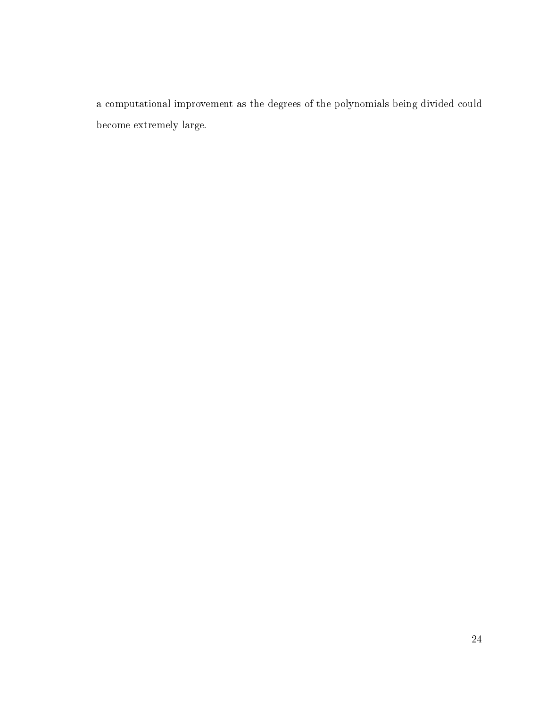a computational improvement as the degrees of the polynomials being divided could become extremely large.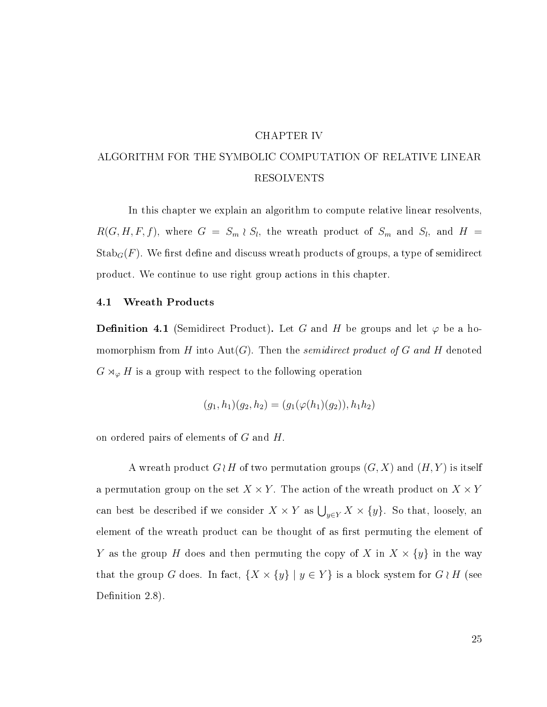#### CHAPTER IV

# <span id="page-30-0"></span>ALGORITHM FOR THE SYMBOLIC COMPUTATION OF RELATIVE LINEAR RESOLVENTS

In this chapter we explain an algorithm to compute relative linear resolvents,  $R(G, H, F, f)$ , where  $G = S_m \wr S_l$ , the wreath product of  $S_m$  and  $S_l$ , and  $H =$  $\operatorname{Stab}_G(F)$ . We first define and discuss wreath products of groups, a type of semidirect product. We continue to use right group actions in this chapter.

#### <span id="page-30-1"></span>4.1 Wreath Products

**Definition 4.1** (Semidirect Product). Let G and H be groups and let  $\varphi$  be a homomorphism from H into Aut(G). Then the *semidirect product of G and H* denoted  $G \rtimes_{\varphi} H$  is a group with respect to the following operation

$$
(g_1, h_1)(g_2, h_2) = (g_1(\varphi(h_1)(g_2)), h_1 h_2)
$$

on ordered pairs of elements of G and H.

A wreath product  $G \wr H$  of two permutation groups  $(G, X)$  and  $(H, Y)$  is itself a permutation group on the set  $X \times Y$ . The action of the wreath product on  $X \times Y$ can best be described if we consider  $X \times Y$  as  $\bigcup_{y \in Y} X \times \{y\}$ . So that, loosely, an element of the wreath product can be thought of as first permuting the element of Y as the group H does and then permuting the copy of X in  $X \times \{y\}$  in the way that the group G does. In fact,  $\{X \times \{y\} \mid y \in Y\}$  is a block system for  $G \wr H$  (see Definition [2.8\)](#page-10-0).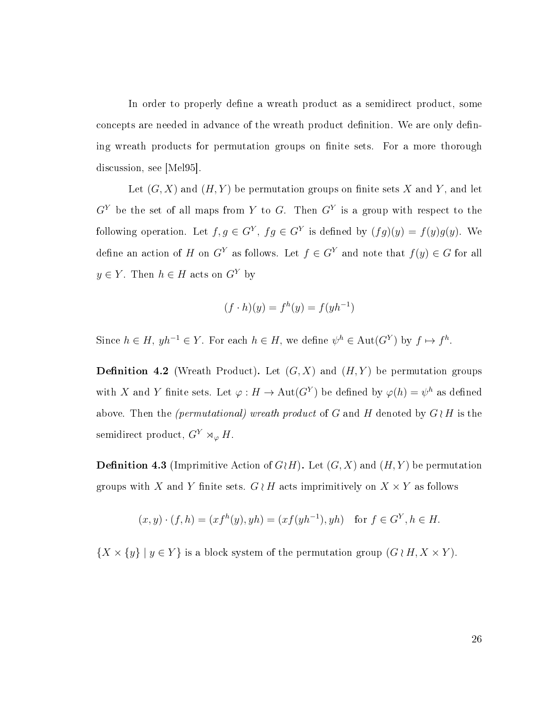In order to properly define a wreath product as a semidirect product, some concepts are needed in advance of the wreath product definition. We are only defining wreath products for permutation groups on finite sets. For a more thorough discussion, see [\[Mel95\]](#page-54-6).

Let  $(G, X)$  and  $(H, Y)$  be permutation groups on finite sets X and Y, and let  $G<sup>Y</sup>$  be the set of all maps from Y to G. Then  $G<sup>Y</sup>$  is a group with respect to the following operation. Let  $f, g \in G^Y$ ,  $fg \in G^Y$  is defined by  $(fg)(y) = f(y)g(y)$ . We define an action of H on  $G<sup>Y</sup>$  as follows. Let  $f \in G<sup>Y</sup>$  and note that  $f(y) \in G$  for all  $y \in Y$ . Then  $h \in H$  acts on  $G<sup>Y</sup>$  by

$$
(f \cdot h)(y) = f^h(y) = f(yh^{-1})
$$

Since  $h \in H$ ,  $yh^{-1} \in Y$ . For each  $h \in H$ , we define  $\psi^h \in \text{Aut}(G^Y)$  by  $f \mapsto f^h$ .

**Definition 4.2** (Wreath Product). Let  $(G, X)$  and  $(H, Y)$  be permutation groups with X and Y finite sets. Let  $\varphi: H \to \text{Aut}(G^Y)$  be defined by  $\varphi(h) = \psi^h$  as defined above. Then the *(permutational)* wreath product of G and H denoted by  $G \wr H$  is the semidirect product,  $G^Y \rtimes_{\varphi} H$ .

<span id="page-31-0"></span>**Definition 4.3** (Imprimitive Action of  $G \nmid H$ ). Let  $(G, X)$  and  $(H, Y)$  be permutation groups with X and Y finite sets. G  $\wr$  H acts imprimitively on  $X \times Y$  as follows

$$
(x, y) \cdot (f, h) = (xf^{h}(y), yh) = (xf(yh^{-1}), yh)
$$
 for  $f \in G^{Y}, h \in H$ .

 $\{X \times \{y\} \mid y \in Y\}$  is a block system of the permutation group  $(G \wr H, X \times Y)$ .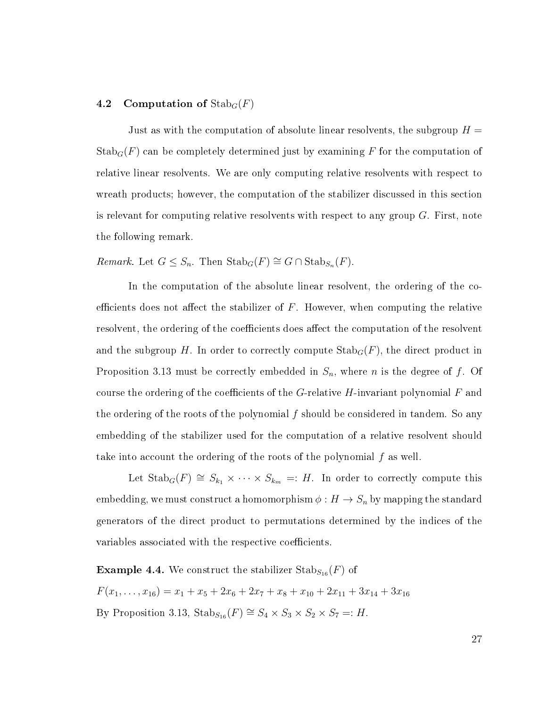#### <span id="page-32-0"></span>4.2 Computation of  $\text{Stab}_G(F)$

Just as with the computation of absolute linear resolvents, the subgroup  $H =$  $\operatorname{Stab}_G(F)$  can be completely determined just by examining F for the computation of relative linear resolvents. We are only computing relative resolvents with respect to wreath products; however, the computation of the stabilizer discussed in this section is relevant for computing relative resolvents with respect to any group  $G$ . First, note the following remark.

Remark. Let  $G \leq S_n$ . Then  $\text{Stab}_G(F) \cong G \cap \text{Stab}_{S_n}(F)$ .

In the computation of the absolute linear resolvent, the ordering of the coefficients does not affect the stabilizer of  $F$ . However, when computing the relative resolvent, the ordering of the coefficients does affect the computation of the resolvent and the subgroup H. In order to correctly compute  $\operatorname{Stab}_G(F)$ , the direct product in Proposition [3.13](#page-23-2) must be correctly embedded in  $S_n$ , where *n* is the degree of f. Of course the ordering of the coefficients of the G-relative H-invariant polynomial  $F$  and the ordering of the roots of the polynomial f should be considered in tandem. So any embedding of the stabilizer used for the computation of a relative resolvent should take into account the ordering of the roots of the polynomial f as well.

Let  $\text{Stab}_G(F) \cong S_{k_1} \times \cdots \times S_{k_m} =: H$ . In order to correctly compute this embedding, we must construct a homomorphism  $\phi : H \to S_n$  by mapping the standard generators of the direct product to permutations determined by the indices of the variables associated with the respective coefficients.

**Example 4.4.** We construct the stabilizer  $\text{Stab}_{S_{16}}(F)$  of  $F(x_1, \ldots, x_{16}) = x_1 + x_5 + 2x_6 + 2x_7 + x_8 + x_{10} + 2x_{11} + 3x_{14} + 3x_{16}$ By Proposition [3.13,](#page-23-2)  $\text{Stab}_{S_{16}}(F) \cong S_4 \times S_3 \times S_2 \times S_7 =: H$ .

27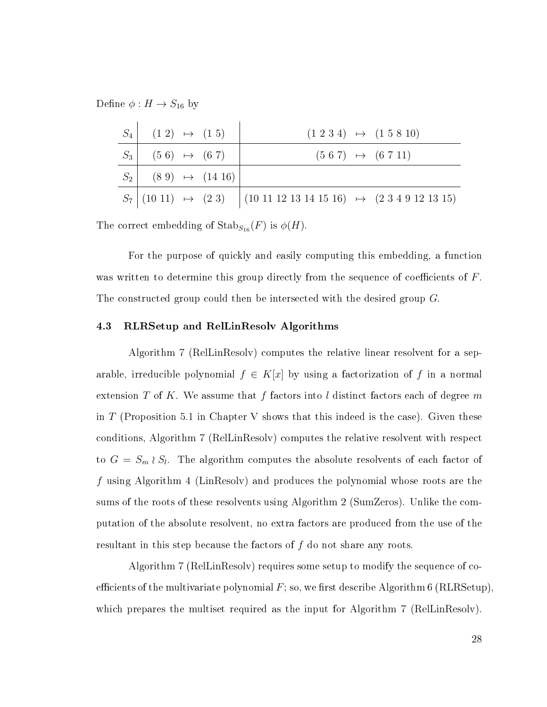Define  $\phi: H \to S_{16}$  by

| $S_4$ $(1\;2)$ $\mapsto$ $(1\;5)$ |  | $(1\ 2\ 3\ 4) \rightarrow (1\ 5\ 8\ 10)$                                          |
|-----------------------------------|--|-----------------------------------------------------------------------------------|
| $S_3$ (56) $\mapsto$ (67)         |  | $(5 6 7) \rightarrow (6 7 11)$                                                    |
| $S_2$ (89) $\mapsto$ (14 16)      |  |                                                                                   |
|                                   |  | $S_7$ (10 11) $\mapsto$ (2 3) (10 11 12 13 14 15 16) $\mapsto$ (2 3 4 9 12 13 15) |

The correct embedding of  $\mathrm{Stab}_{S_{16}}(F)$  is  $\phi(H)$ .

For the purpose of quickly and easily computing this embedding, a function was written to determine this group directly from the sequence of coefficients of  $F$ . The constructed group could then be intersected with the desired group G.

#### <span id="page-33-0"></span>4.3 RLRSetup and RelLinResolv Algorithms

Algorithm [7](#page-35-0) (RelLinResolv) computes the relative linear resolvent for a separable, irreducible polynomial  $f \in K[x]$  by using a factorization of f in a normal extension  $T$  of  $K$ . We assume that  $f$  factors into  $l$  distinct factors each of degree  $m$ in T (Proposition [5.1](#page-42-2) in Chapter [V](#page-42-0) shows that this indeed is the case). Given these conditions, Algorithm [7](#page-35-0) (RelLinResolv) computes the relative resolvent with respect to  $G = S_m \wr S_l$ . The algorithm computes the absolute resolvents of each factor of f using Algorithm [4](#page-27-0) (LinResolv) and produces the polynomial whose roots are the sums of the roots of these resolvents using Algorithm [2](#page-20-0) (SumZeros). Unlike the computation of the absolute resolvent, no extra factors are produced from the use of the resultant in this step because the factors of  $f$  do not share any roots.

Algorithm [7](#page-35-0) (RelLinResolv) requires some setup to modify the sequence of coefficients of the multivariate polynomial  $F$ ; so, we first describe Algorithm [6](#page-34-0) (RLRSetup), which prepares the multiset required as the input for Algorithm [7](#page-35-0) (RelLinResolv).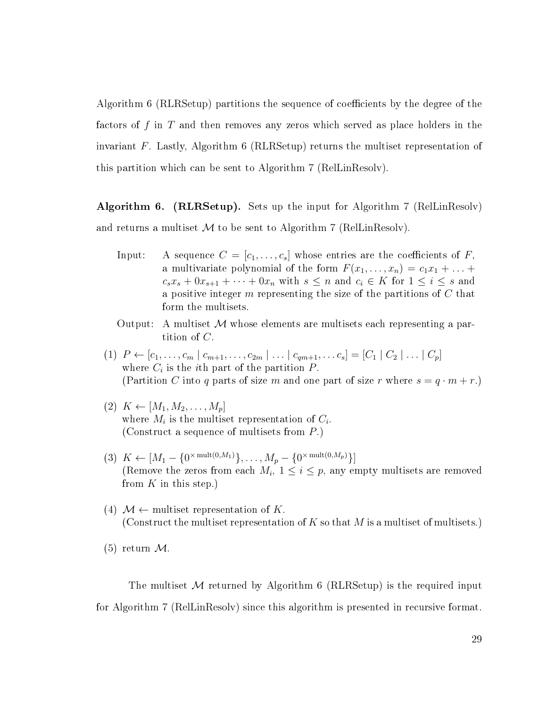Algorithm [6](#page-34-0) (RLRSetup) partitions the sequence of coefficients by the degree of the factors of f in T and then removes any zeros which served as place holders in the invariant F. Lastly, Algorithm [6](#page-34-0) (RLRSetup) returns the multiset representation of this partition which can be sent to Algorithm [7](#page-35-0) (RelLinResolv).

<span id="page-34-0"></span>Algorithm 6. (RLRSetup). Sets up the input for Algorithm [7](#page-35-0) (RelLinResolv) and returns a multiset  $\mathcal M$  to be sent to Algorithm [7](#page-35-0) (RelLinResolv).

- Input: A sequence  $C = [c_1, \ldots, c_s]$  whose entries are the coefficients of F, a multivariate polynomial of the form  $F(x_1, \ldots, x_n) = c_1x_1 + \ldots$  $c_s x_s + 0 x_{s+1} + \cdots + 0 x_n$  with  $s \leq n$  and  $c_i \in K$  for  $1 \leq i \leq s$  and a positive integer  $m$  representing the size of the partitions of  $C$  that form the multisets.
- Output: A multiset  $\mathcal M$  whose elements are multisets each representing a partition of C.
- (1)  $P \leftarrow [c_1, \ldots, c_m | c_{m+1}, \ldots, c_{2m} | \ldots | c_{qm+1}, \ldots, c_s] = [C_1 | C_2 | \ldots | C_p]$ where  $C_i$  is the *i*<sup>th</sup> part of the partition  $P$ . (Partition C into q parts of size m and one part of size r where  $s = q \cdot m + r$ .)
- $(2) K \leftarrow [M_1, M_2, \ldots, M_p]$ where  $M_i$  is the multiset representation of  $C_i$ . (Construct a sequence of multisets from P.)
- (3)  $K \leftarrow [M_1 \{0^{\times} \text{mult}(0, M_1)\}, \dots, M_p \{0^{\times} \text{mult}(0, M_p)\}]$ (Remove the zeros from each  $M_i$ ,  $1 \leq i \leq p$ , any empty multisets are removed from  $K$  in this step.)
- (4)  $\mathcal{M} \leftarrow$  multiset representation of K. (Construct the multiset representation of K so that M is a multiset of multisets.)

 $(5)$  return  $\mathcal{M}$ .

The multiset  $M$  returned by Algorithm [6](#page-34-0) (RLRSetup) is the required input for Algorithm [7](#page-35-0) (RelLinResolv) since this algorithm is presented in recursive format.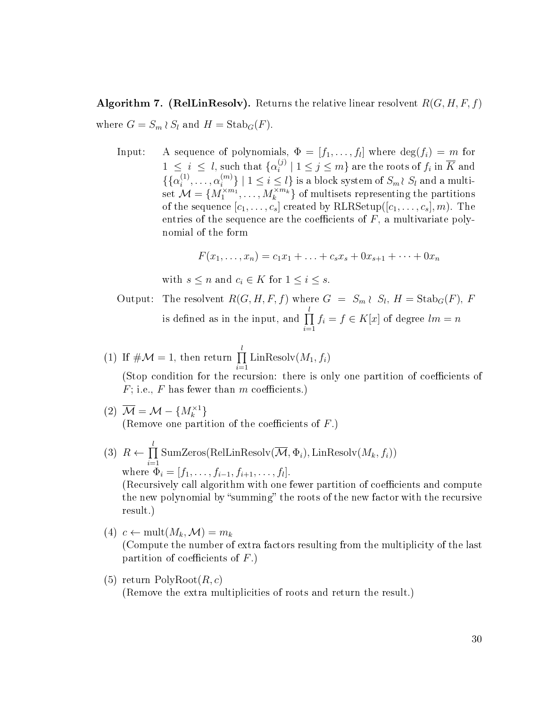<span id="page-35-0"></span>**Algorithm 7. (RelLinResolv).** Returns the relative linear resolvent  $R(G, H, F, f)$ where  $G = S_m \wr S_l$  and  $H = \text{Stab}_G(F)$ .

Input: A sequence of polynomials,  $\Phi = [f_1, \ldots, f_l]$  where  $\deg(f_i) = m$  for  $1 \leq i \leq l$ , such that  $\{\alpha_i^{(j)}\}$  $\binom{[j]}{i}$   $| 1 \leq j \leq m$  are the roots of  $f_i$  in  $\overline{K}$  and  $\{\{\alpha_i^{(1)}\}$  $\alpha_i^{(1)}, \ldots, \alpha_i^{(m)}$  $\{S_m^{(m)}\}$  |  $1 \leq i \leq l$ } is a block system of  $S_m$  $\wr$   $S_l$  and a multi- $\mathrm{set} \ \mathcal{M} = \{M_1^{\times m_1}, \ldots, M_k^{\times m_k}\} \ \mathrm{of} \ \mathrm{multisets} \ \mathrm{representing} \ \mathrm{the} \ \mathrm{partitions}$ of the sequence  $[c_1, \ldots, c_s]$  created by RLRSetup( $[c_1, \ldots, c_s]$ , m). The entries of the sequence are the coefficients of  $F$ , a multivariate polynomial of the form

$$
F(x_1, ..., x_n) = c_1 x_1 + ... + c_s x_s + 0 x_{s+1} + ... + 0 x_n
$$

with  $s \leq n$  and  $c_i \in K$  for  $1 \leq i \leq s$ .

Output: The resolvent 
$$
R(G, H, F, f)
$$
 where  $G = S_m \wr S_l$ ,  $H = \text{Stab}_G(F)$ ,  $F$  is defined as in the input, and  $\prod_{i=1}^{l} f_i = f \in K[x]$  of degree  $lm = n$ 

- (1) If  $\#\mathcal{M}=1$ , then return  $\prod_{i=1}^{l}$  $i=1$  $\text{LinResolv}(M_1, f_i)$ (Stop condition for the recursion: there is only one partition of coefficients of
- $F$ ; i.e.,  $F$  has fewer than  $m$  coefficients.) (2)  $\overline{\mathcal{M}} = \mathcal{M} - \{M_k^{\times 1}\}$

(Remove one partition of the coefficients of  $F$ .)

- $(3)$   $R \leftarrow \prod^{l}$  $i=1$  $SumZeros(RelLinResolv(M, \Phi_i), LinResolv(M_k, f_i))$ where  $\Phi_i = [f_1, \ldots, f_{i-1}, f_{i+1}, \ldots, f_l].$ (Recursively call algorithm with one fewer partition of coefficients and compute the new polynomial by "summing" the roots of the new factor with the recursive result.)
- (4)  $c \leftarrow \text{mult}(M_k, \mathcal{M}) = m_k$ (Compute the number of extra factors resulting from the multiplicity of the last partition of coefficients of  $F$ .)
- (5) return  $PolyRoot(R, c)$ (Remove the extra multiplicities of roots and return the result.)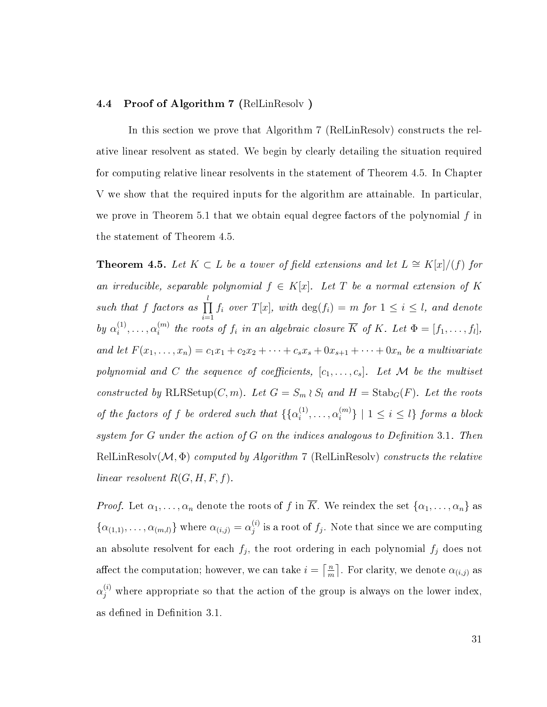#### <span id="page-36-0"></span>4.4 Proof of Algorithm [7](#page-35-0) (RelLinResolv )

In this section we prove that Algorithm [7](#page-35-0) (RelLinResolv) constructs the relative linear resolvent as stated. We begin by clearly detailing the situation required for computing relative linear resolvents in the statement of Theorem [4.5.](#page-36-1) In Chapter [V](#page-42-0) we show that the required inputs for the algorithm are attainable. In particular, we prove in Theorem [5.1](#page-42-2) that we obtain equal degree factors of the polynomial  $f$  in the statement of Theorem [4.5.](#page-36-1)

<span id="page-36-1"></span>**Theorem 4.5.** Let  $K ⊂ L$  be a tower of field extensions and let  $L ≅ K[x]/(f)$  for an irreducible, separable polynomial  $f \in K[x]$ . Let T be a normal extension of K such that f factors as  $\prod_{}^l$  $i=1$  $f_i$  over  $T[x]$ , with  $\deg(f_i) = m$  for  $1 \leq i \leq l$ , and denote by  $\alpha_i^{(1)}$  $\alpha_i^{(1)}, \ldots, \alpha_i^{(m)}$  $\mathcal{E}_i^{(m)}$  the roots of  $f_i$  in an algebraic closure K of K. Let  $\Phi = [f_1, \ldots, f_l],$ and let  $F(x_1, ..., x_n) = c_1x_1 + c_2x_2 + \cdots + c_sx_s + 0x_{s+1} + \cdots + 0x_n$  be a multivariate polynomial and C the sequence of coefficients,  $[c_1, \ldots, c_s]$ . Let M be the multiset constructed by RLRSetup(C, m). Let  $G = S_m \wr S_l$  and  $H = \text{Stab}_G(F)$ . Let the roots of the factors of f be ordered such that  $\{\alpha_i^{(1)}\}$  $\alpha_i^{(1)}, \ldots, \alpha_i^{(m)}$  $\{a^{(m)}\}\mid 1\leq i\leq l\}$  forms a block system for G under the action of G on the indices analogous to Definition [3.1.](#page-16-0) Then  $\text{RellinResolv}(\mathcal{M}, \Phi)$  computed by Algorithm [7](#page-35-0) (RelLinResolv) constructs the relative linear resolvent  $R(G, H, F, f)$ .

*Proof.* Let  $\alpha_1, \ldots, \alpha_n$  denote the roots of f in  $\overline{K}$ . We reindex the set  $\{\alpha_1, \ldots, \alpha_n\}$  as  $\{\alpha_{(1,1)},\ldots,\alpha_{(m,l)}\}\$  where  $\alpha_{(i,j)}=\alpha_j^{(i)}$  $j^{(i)}_j$  is a root of  $f_j$ . Note that since we are computing an absolute resolvent for each  $f_j$ , the root ordering in each polynomial  $f_j$  does not affect the computation; however, we can take  $i = \lceil \frac{m}{m} \rceil$  $\frac{n}{m}$ . For clarity, we denote  $\alpha_{(i,j)}$  as  $\alpha_j^{(i)}$  where appropriate so that the action of the group is always on the lower index, as defined in Definition [3.1.](#page-16-0)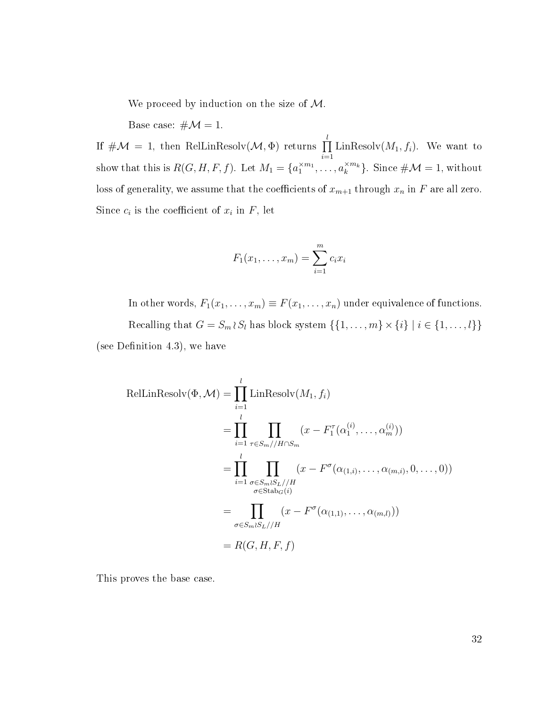We proceed by induction on the size of  $M$ .

Base case:  $\#\mathcal{M}=1$ .

If  $\#\mathcal{M} = 1$ , then RelLinResolv $(\mathcal{M}, \Phi)$  returns  $\prod^l$  $i=1$ Lin $\text{Resolv}(M_1, f_i)$ . We want to show that this is  $R(G, H, F, f)$ . Let  $M_1 = \{a_1^{\times m_1}, \dots, a_k^{\times m_k}\}$ . Since  $\#\mathcal{M} = 1$ , without loss of generality, we assume that the coefficients of  $x_{m+1}$  through  $x_n$  in F are all zero. Since  $c_i$  is the coefficient of  $x_i$  in  $F$ , let

$$
F_1(x_1,...,x_m) = \sum_{i=1}^m c_i x_i
$$

In other words,  $F_1(x_1, \ldots, x_m) \equiv F(x_1, \ldots, x_n)$  under equivalence of functions. Recalling that  $G = S_m \wr S_l$  has block system  $\{\{1, \ldots, m\} \times \{i\} \mid i \in \{1, \ldots, l\}\}\$ (see Definition [4.3\)](#page-31-0), we have

$$
\text{RelLinResolv}(\Phi, \mathcal{M}) = \prod_{i=1}^{l} \text{LinResolv}(M_1, f_i)
$$
\n
$$
= \prod_{i=1}^{l} \prod_{\tau \in S_m // H \cap S_m} (x - F_1^{\tau}(\alpha_1^{(i)}, \dots, \alpha_m^{(i)}))
$$
\n
$$
= \prod_{i=1}^{l} \prod_{\substack{\sigma \in S_m \wr S_L // H \\ \sigma \in \text{Stab}_G(i)}} (x - F^{\sigma}(\alpha_{(1,i)}, \dots, \alpha_{(m,i)}, 0, \dots, 0))
$$
\n
$$
= \prod_{\sigma \in S_m \wr S_L // H} (x - F^{\sigma}(\alpha_{(1,1)}, \dots, \alpha_{(m,l)}))
$$
\n
$$
= R(G, H, F, f)
$$

This proves the base case.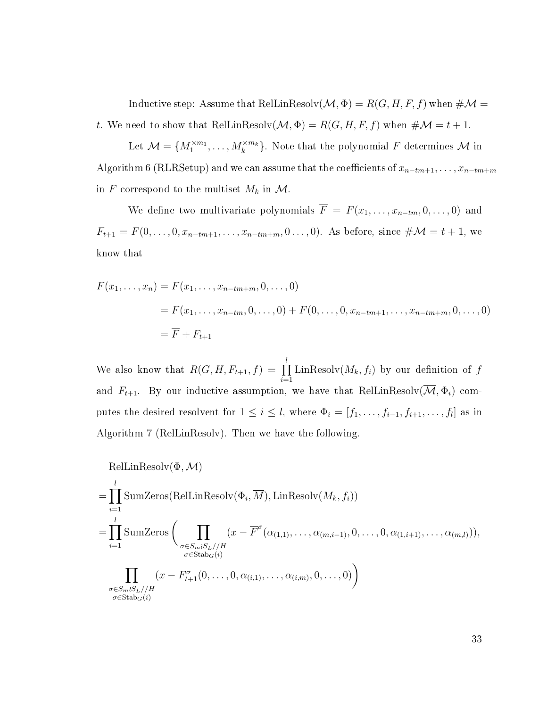Inductive step: Assume that RelLinResolv $(\mathcal{M}, \Phi) = R(G, H, F, f)$  when  $\# \mathcal{M} =$ t. We need to show that RelLinResolv $(M, \Phi) = R(G, H, F, f)$  when  $\# \mathcal{M} = t + 1$ .

Let  $\mathcal{M} = \{M_1^{\times m_1}, \ldots, M_k^{\times m_k}\}.$  Note that the polynomial F determines  $\mathcal{M}$  in Algorithm [6](#page-34-0) (RLRSetup) and we can assume that the coefficients of  $x_{n-tm+1}, \ldots, x_{n-tm+m}$ in F correspond to the multiset  $M_k$  in  $\mathcal{M}$ .

We define two multivariate polynomials  $\overline{F} = F(x_1, \ldots, x_{n-t_m}, 0, \ldots, 0)$  and  $F_{t+1} = F(0, \ldots, 0, x_{n-tm+1}, \ldots, x_{n-tm+m}, 0 \ldots, 0)$ . As before, since  $\#\mathcal{M} = t + 1$ , we know that

$$
F(x_1, ..., x_n) = F(x_1, ..., x_{n-tm+m}, 0, ..., 0)
$$
  
=  $F(x_1, ..., x_{n-tm}, 0, ..., 0) + F(0, ..., 0, x_{n-tm+1}, ..., x_{n-tm+m}, 0, ..., 0)$   
=  $\overline{F} + F_{t+1}$ 

We also know that  $R(G, H, F_{t+1}, f) = \prod_{i=1}^{l}$  $i=1$  $\text{LinResolv}(M_k, f_i)$  by our definition of  $f$ and  $F_{t+1}$ . By our inductive assumption, we have that RelLinResolv $(\overline{\mathcal{M}}, \Phi_i)$  computes the desired resolvent for  $1 \leq i \leq l$ , where  $\Phi_i = [f_1, \ldots, f_{i-1}, f_{i+1}, \ldots, f_l]$  as in Algorithm [7](#page-35-0) (RelLinResolv). Then we have the following.

$$
\text{RelLinResolv}(\Phi, \mathcal{M})
$$
\n
$$
= \prod_{i=1}^{l} \text{SumZeros}(\text{RelLinResolv}(\Phi_i, \overline{M}), \text{LinResolv}(M_k, f_i))
$$
\n
$$
= \prod_{i=1}^{l} \text{SumZeros} \left( \prod_{\substack{\sigma \in S_m \wr S_L // H \\ \sigma \in \text{Stab}_G(i)}} (x - \overline{F}^{\sigma}(\alpha_{(1,1)}, \dots, \alpha_{(m,i-1)}, 0, \dots, 0, \alpha_{(1,i+1)}, \dots, \alpha_{(m,l)})),
$$
\n
$$
\prod_{\substack{\sigma \in S_m \wr S_L // H \\ \sigma \in \text{Stab}_G(i)}} (x - F^{\sigma}_{t+1}(0, \dots, 0, \alpha_{(i,1)}, \dots, \alpha_{(i,m)}, 0, \dots, 0)) \right)
$$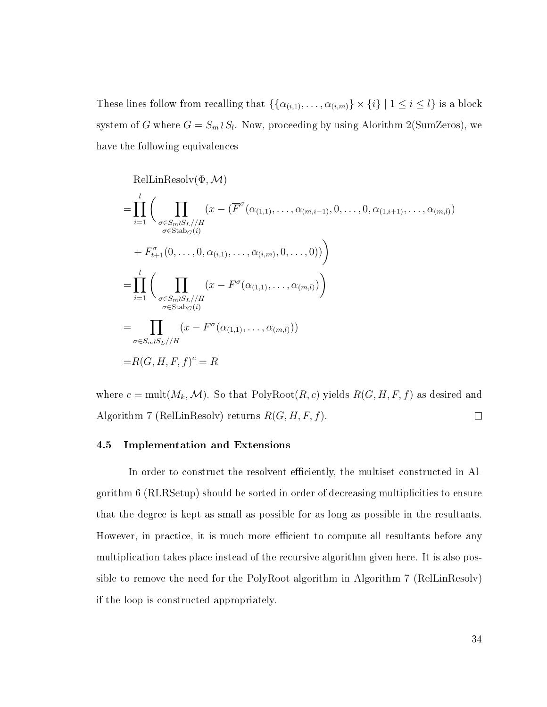These lines follow from recalling that  $\{\{\alpha_{(i,1)}, \ldots, \alpha_{(i,m)}\} \times \{i\} \mid 1 \leq i \leq l\}$  is a block system of G where  $G = S_m \wr S_l$ . Now, proceeding by using Alorithm [2](#page-20-0)(SumZeros), we have the following equivalences

$$
\text{RelLinResolv}(\Phi, \mathcal{M})
$$
\n
$$
= \prod_{i=1}^{l} \left( \prod_{\substack{\sigma \in S_m \setminus S_L // H \\ \sigma \in \text{Stab}_{G}(i)}} (x - (\overline{F}^{\sigma}(\alpha_{(1,1)}, \dots, \alpha_{(m,i-1)}, 0, \dots, 0, \alpha_{(1,i+1)}, \dots, \alpha_{(m,l)}) )\n+ F_{t+1}^{\sigma}(0, \dots, 0, \alpha_{(i,1)}, \dots, \alpha_{(i,m)}, 0, \dots, 0)) \right)
$$
\n
$$
= \prod_{i=1}^{l} \left( \prod_{\substack{\sigma \in S_m \setminus S_L // H \\ \sigma \in \text{Stab}_{G}(i)}} (x - F^{\sigma}(\alpha_{(1,1)}, \dots, \alpha_{(m,l)})) \right)
$$
\n
$$
= \prod_{\sigma \in S_m \setminus S_L // H} (x - F^{\sigma}(\alpha_{(1,1)}, \dots, \alpha_{(m,l)}))
$$
\n
$$
= R(G, H, F, f)^{c} = R
$$

where  $c = \text{mult}(M_k, \mathcal{M})$ . So that PolyRoot $(R, c)$  yields  $R(G, H, F, f)$  as desired and Algorithm [7](#page-35-0) (RelLinResolv) returns  $R(G, H, F, f)$ .  $\Box$ 

#### <span id="page-39-0"></span>4.5 Implementation and Extensions

In order to construct the resolvent efficiently, the multiset constructed in Algorithm [6](#page-34-0) (RLRSetup) should be sorted in order of decreasing multiplicities to ensure that the degree is kept as small as possible for as long as possible in the resultants. However, in practice, it is much more efficient to compute all resultants before any multiplication takes place instead of the recursive algorithm given here. It is also possible to remove the need for the PolyRoot algorithm in Algorithm [7](#page-35-0) (RelLinResolv) if the loop is constructed appropriately.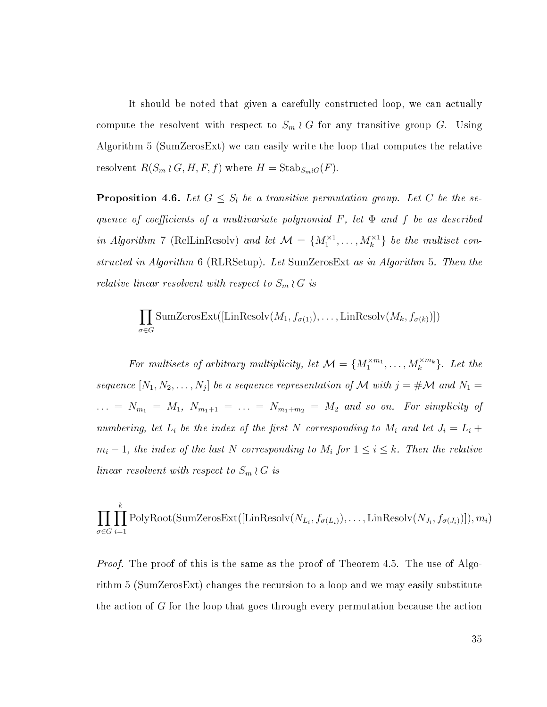It should be noted that given a carefully constructed loop, we can actually compute the resolvent with respect to  $S_m \nvert G$  for any transitive group G. Using Algorithm [5](#page-28-1) (SumZerosExt) we can easily write the loop that computes the relative resolvent  $R(S_m \wr G, H, F, f)$  where  $H = \text{Stab}_{S_m \wr G}(F)$ .

<span id="page-40-0"></span>**Proposition 4.6.** Let  $G \leq S_l$  be a transitive permutation group. Let C be the sequence of coefficients of a multivariate polynomial  $F$ , let  $\Phi$  and  $f$  be as described in Algorithm [7](#page-35-0) (RelLinResolv) and let  $\mathcal{M} = \{M_1^{\times 1}, \ldots, M_k^{\times 1}\}\$ be the multiset constructed in Algorithm [6](#page-34-0) (RLRSetup). Let SumZerosExt as in Algorithm [5.](#page-28-1) Then the relative linear resolvent with respect to  $S_m \wr G$  is

$$
\prod_{\sigma \in G} \text{SumZerosExt}([ \text{LinResolv}(M_1, f_{\sigma(1)}), \dots, \text{LinResolv}(M_k, f_{\sigma(k)})])
$$

For multisets of arbitrary multiplicity, let  $\mathcal{M} = \{M_1^{\times m_1}, \ldots, M_k^{\times m_k}\}\$ . Let the sequence  $[N_1, N_2, \ldots, N_j]$  be a sequence representation of M with  $j = \# \mathcal{M}$  and  $N_1 =$ ... =  $N_{m_1} = M_1$ ,  $N_{m_1+1} = ... = N_{m_1+m_2} = M_2$  and so on. For simplicity of numbering, let  $L_i$  be the index of the first N corresponding to  $M_i$  and let  $J_i = L_i +$  $m_i-1$ , the index of the last N corresponding to  $M_i$  for  $1 \leq i \leq k$ . Then the relative linear resolvent with respect to  $S_m \wr G$  is

$$
\prod_{\sigma \in G} \prod_{i=1}^{k} \text{PolyRoot}(\text{SumZerosExt}([\text{LinResolv}(N_{L_i}, f_{\sigma(L_i)}), \dots, \text{LinResolv}(N_{J_i}, f_{\sigma(J_i)})]), m_i)
$$

*Proof.* The proof of this is the same as the proof of Theorem [4.5.](#page-36-1) The use of Algorithm [5](#page-28-1) (SumZerosExt) changes the recursion to a loop and we may easily substitute the action of G for the loop that goes through every permutation because the action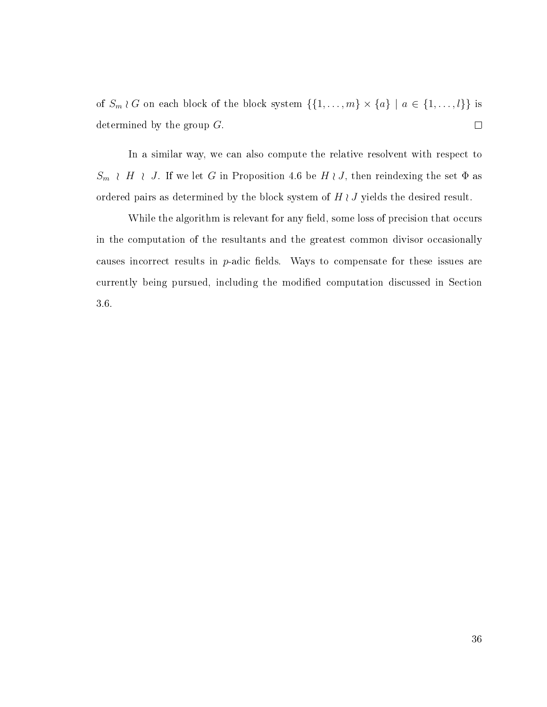of  $S_m \wr G$  on each block of the block system  $\{\{1, \ldots, m\} \times \{a\} \mid a \in \{1, \ldots, l\}\}\$ is determined by the group  $G$ .  $\Box$ 

In a similar way, we can also compute the relative resolvent with respect to  $S_m \in H \in J$ . If we let G in Proposition [4.6](#page-40-0) be  $H \in J$ , then reindexing the set  $\Phi$  as ordered pairs as determined by the block system of  $H \wr J$  yields the desired result.

While the algorithm is relevant for any field, some loss of precision that occurs in the computation of the resultants and the greatest common divisor occasionally causes incorrect results in  $p$ -adic fields. Ways to compensate for these issues are currently being pursued, including the modified computation discussed in Section [3.6.](#page-28-0)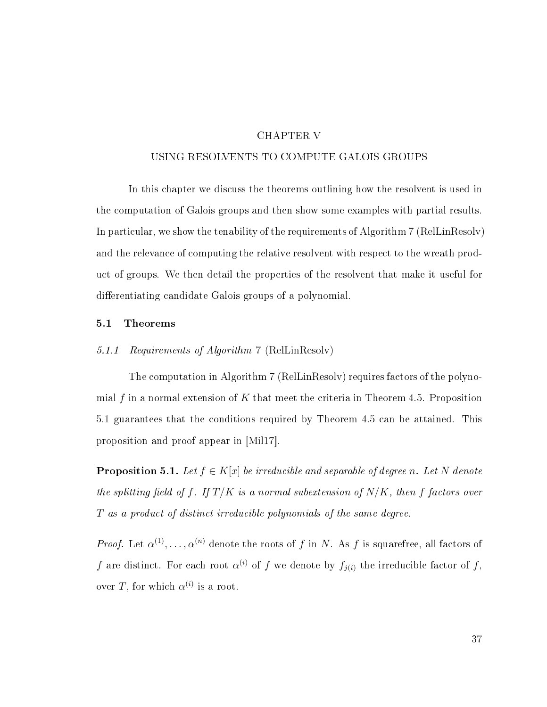#### CHAPTER V

#### <span id="page-42-0"></span>USING RESOLVENTS TO COMPUTE GALOIS GROUPS

In this chapter we discuss the theorems outlining how the resolvent is used in the computation of Galois groups and then show some examples with partial results. In particular, we show the tenability of the requirements of Algorithm [7](#page-35-0) (RelLinResolv) and the relevance of computing the relative resolvent with respect to the wreath product of groups. We then detail the properties of the resolvent that make it useful for differentiating candidate Galois groups of a polynomial.

#### <span id="page-42-1"></span>5.1 Theorems

#### 5.1.1 Requirements of Algorithm [7](#page-35-0) (RelLinResolv)

The computation in Algorithm [7](#page-35-0) (RelLinResolv) requires factors of the polyno-mial f in a normal extension of K that meet the criteria in Theorem [4.5.](#page-36-1) Proposition [5.1](#page-42-2) guarantees that the conditions required by Theorem [4.5](#page-36-1) can be attained. This proposition and proof appear in [\[Mil17\]](#page-54-7).

<span id="page-42-2"></span>**Proposition 5.1.** Let  $f \in K[x]$  be irreducible and separable of degree n. Let N denote the splitting field of f. If  $T/K$  is a normal subextension of  $N/K$ , then f factors over T as a product of distinct irreducible polynomials of the same degree.

*Proof.* Let  $\alpha^{(1)}, \ldots, \alpha^{(n)}$  denote the roots of f in N. As f is squarefree, all factors of f are distinct. For each root  $\alpha^{(i)}$  of f we denote by  $f_{j(i)}$  the irreducible factor of f, over T, for which  $\alpha^{(i)}$  is a root.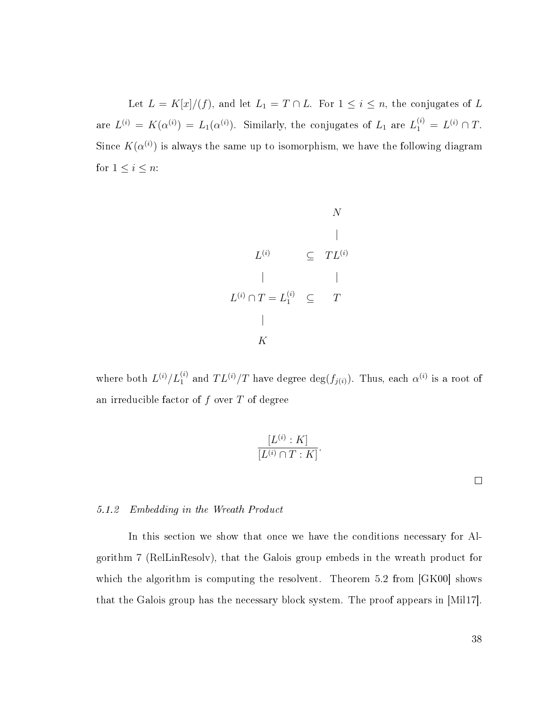Let  $L = K[x]/(f)$ , and let  $L_1 = T \cap L$ . For  $1 \leq i \leq n$ , the conjugates of L are  $L^{(i)} = K(\alpha^{(i)}) = L_1(\alpha^{(i)})$ . Similarly, the conjugates of  $L_1$  are  $L_1^{(i)} = L^{(i)} \cap T$ . Since  $K(\alpha^{(i)})$  is always the same up to isomorphism, we have the following diagram for  $1 \leq i \leq n$ :

$$
L^{(i)} \subseteq TL^{(i)}
$$
\n
$$
L^{(i)} \cap T = L_1^{(i)} \subseteq T
$$
\n
$$
K
$$
\n
$$
K
$$

where both  $L^{(i)}/L_1^{(i)}$  and  $TL^{(i)}/T$  have degree  $\deg(f_{j(i)})$ . Thus, each  $\alpha^{(i)}$  is a root of an irreducible factor of  $f$  over  $T$  of degree

$$
\frac{[L^{(i)}:K]}{[L^{(i)} \cap T:K]}
$$

.

 $\Box$ 

#### 5.1.2 Embedding in the Wreath Product

In this section we show that once we have the conditions necessary for Algorithm [7](#page-35-0) (RelLinResolv), that the Galois group embeds in the wreath product for which the algorithm is computing the resolvent. Theorem [5.2](#page-44-0) from [\[GK00\]](#page-54-8) shows that the Galois group has the necessary block system. The proof appears in [\[Mil17\]](#page-54-7).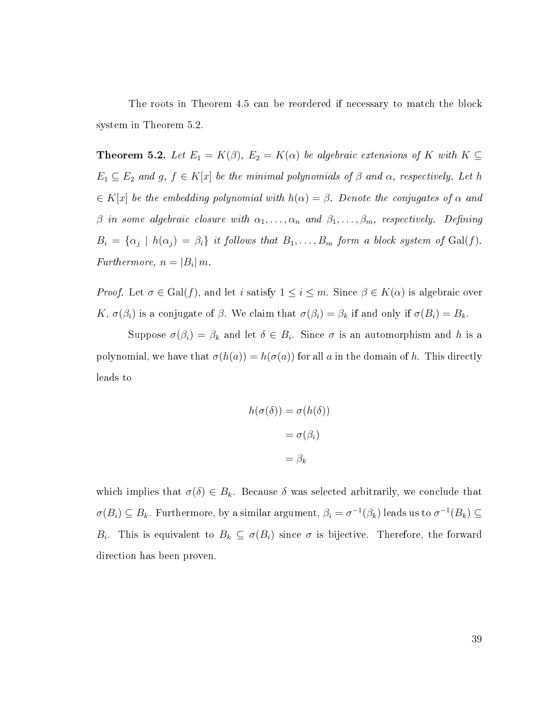The roots in Theorem [4.5](#page-36-1) can be reordered if necessary to match the block system in Theorem [5.2.](#page-44-0)

<span id="page-44-0"></span>**Theorem 5.2.** Let  $E_1 = K(\beta)$ ,  $E_2 = K(\alpha)$  be algebraic extensions of K with  $K \subseteq$  $E_1 \subseteq E_2$  and g,  $f \in K[x]$  be the minimal polynomials of  $\beta$  and  $\alpha$ , respectively. Let h  $\in K[x]$  be the embedding polynomial with  $h(\alpha) = \beta$ . Denote the conjugates of  $\alpha$  and  $\beta$  in some algebraic closure with  $\alpha_1, \ldots, \alpha_n$  and  $\beta_1, \ldots, \beta_m$ , respectively. Defining  $B_i = {\alpha_j \mid h(\alpha_j) = \beta_i}$  it follows that  $B_1, \ldots, B_m$  form a block system of Gal(f). Furthermore,  $n = |B_i| m$ .

*Proof.* Let  $\sigma \in \text{Gal}(f)$ , and let i satisfy  $1 \leq i \leq m$ . Since  $\beta \in K(\alpha)$  is algebraic over K,  $\sigma(\beta_i)$  is a conjugate of  $\beta$ . We claim that  $\sigma(\beta_i) = \beta_k$  if and only if  $\sigma(B_i) = B_k$ .

Suppose  $\sigma(\beta_i) = \beta_k$  and let  $\delta \in B_i$ . Since  $\sigma$  is an automorphism and h is a polynomial, we have that  $\sigma(h(a)) = h(\sigma(a))$  for all a in the domain of h. This directly leads to

$$
h(\sigma(\delta)) = \sigma(h(\delta))
$$

$$
= \sigma(\beta_i)
$$

$$
= \beta_k
$$

which implies that  $\sigma(\delta) \in B_k$ . Because  $\delta$  was selected arbitrarily, we conclude that  $\sigma(B_i) \subseteq B_k$ . Furthermore, by a similar argument,  $\beta_i = \sigma^{-1}(\beta_k)$  leads us to  $\sigma^{-1}(B_k) \subseteq$  $B_i$ . This is equivalent to  $B_k \subseteq \sigma(B_i)$  since  $\sigma$  is bijective. Therefore, the forward direction has been proven.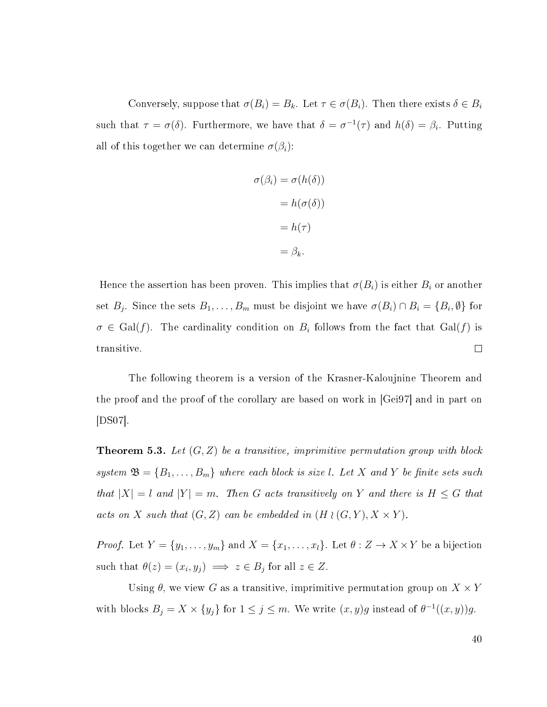Conversely, suppose that  $\sigma(B_i) = B_k$ . Let  $\tau \in \sigma(B_i)$ . Then there exists  $\delta \in B_i$ such that  $\tau = \sigma(\delta)$ . Furthermore, we have that  $\delta = \sigma^{-1}(\tau)$  and  $h(\delta) = \beta_i$ . Putting all of this together we can determine  $\sigma(\beta_i)$ :

$$
\sigma(\beta_i) = \sigma(h(\delta))
$$

$$
= h(\sigma(\delta))
$$

$$
= h(\tau)
$$

$$
= \beta_k.
$$

Hence the assertion has been proven. This implies that  $\sigma(B_i)$  is either  $B_i$  or another set  $B_j$ . Since the sets  $B_1, \ldots, B_m$  must be disjoint we have  $\sigma(B_i) \cap B_i = \{B_i, \emptyset\}$  for  $\sigma \in \text{Gal}(f)$ . The cardinality condition on  $B_i$  follows from the fact that  $\text{Gal}(f)$  is transitive.  $\Box$ 

The following theorem is a version of the Krasner-Kaloujnine Theorem and the proof and the proof of the corollary are based on work in [\[Gei97\]](#page-54-3) and in part on [\[DS07\]](#page-54-9).

**Theorem 5.3.** Let  $(G, Z)$  be a transitive, imprimitive permutation group with block system  $\mathfrak{B} = \{B_1, \ldots, B_m\}$  where each block is size l. Let X and Y be finite sets such that  $|X| = l$  and  $|Y| = m$ . Then G acts transitively on Y and there is  $H \leq G$  that acts on X such that  $(G, Z)$  can be embedded in  $(H \wr (G, Y), X \times Y)$ .

*Proof.* Let  $Y = \{y_1, \ldots, y_m\}$  and  $X = \{x_1, \ldots, x_l\}$ . Let  $\theta : Z \to X \times Y$  be a bijection such that  $\theta(z) = (x_i, y_j) \implies z \in B_j$  for all  $z \in Z$ .

Using  $\theta$ , we view G as a transitive, imprimitive permutation group on  $X \times Y$ with blocks  $B_j = X \times \{y_j\}$  for  $1 \le j \le m$ . We write  $(x, y)g$  instead of  $\theta^{-1}((x, y))g$ .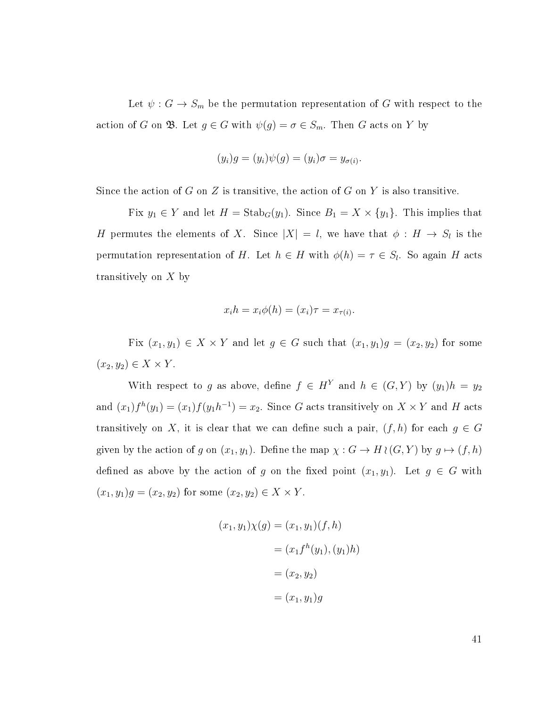Let  $\psi: G \to S_m$  be the permutation representation of G with respect to the action of G on  $\mathfrak{B}$ . Let  $g \in G$  with  $\psi(g) = \sigma \in S_m$ . Then G acts on Y by

$$
(y_i)g = (y_i)\psi(g) = (y_i)\sigma = y_{\sigma(i)}.
$$

Since the action of G on Z is transitive, the action of G on Y is also transitive.

Fix  $y_1 \in Y$  and let  $H = \text{Stab}_G(y_1)$ . Since  $B_1 = X \times \{y_1\}$ . This implies that H permutes the elements of X. Since  $|X| = l$ , we have that  $\phi : H \to S_l$  is the permutation representation of H. Let  $h \in H$  with  $\phi(h) = \tau \in S_l$ . So again H acts transitively on X by

$$
x_i h = x_i \phi(h) = (x_i)\tau = x_{\tau(i)}.
$$

Fix  $(x_1, y_1) \in X \times Y$  and let  $g \in G$  such that  $(x_1, y_1)g = (x_2, y_2)$  for some  $(x_2, y_2) \in X \times Y$ .

With respect to g as above, define  $f \in H^Y$  and  $h \in (G, Y)$  by  $(y_1)h = y_2$ and  $(x_1)f^h(y_1) = (x_1)f(y_1h^{-1}) = x_2$ . Since G acts transitively on  $X \times Y$  and H acts transitively on X, it is clear that we can define such a pair,  $(f, h)$  for each  $g \in G$ given by the action of g on  $(x_1, y_1)$ . Define the map  $\chi : G \to H \wr (G, Y)$  by  $g \mapsto (f, h)$ defined as above by the action of g on the fixed point  $(x_1, y_1)$ . Let  $g \in G$  with  $(x_1, y_1)g = (x_2, y_2)$  for some  $(x_2, y_2) \in X \times Y$ .

$$
(x_1, y_1)\chi(g) = (x_1, y_1)(f, h)
$$

$$
= (x_1 f^h(y_1), (y_1)h)
$$

$$
= (x_2, y_2)
$$

$$
= (x_1, y_1)g
$$

41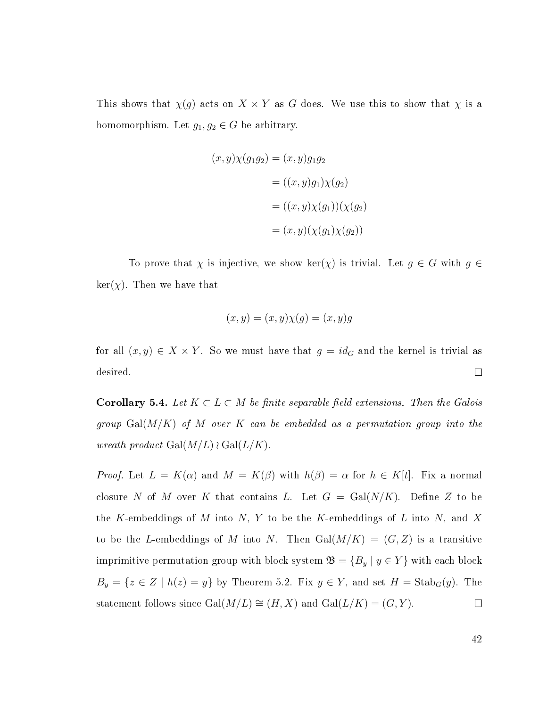This shows that  $\chi(g)$  acts on  $X \times Y$  as G does. We use this to show that  $\chi$  is a homomorphism. Let  $g_1, g_2 \in G$  be arbitrary.

$$
(x,y)\chi(g_1g_2) = (x,y)g_1g_2
$$

$$
= ((x,y)g_1)\chi(g_2)
$$

$$
= ((x,y)\chi(g_1))(\chi(g_2))
$$

$$
= (x,y)(\chi(g_1)\chi(g_2))
$$

To prove that  $\chi$  is injective, we show ker( $\chi$ ) is trivial. Let  $g \in G$  with  $g \in G$  $\ker(\chi)$ . Then we have that

$$
(x, y) = (x, y)\chi(g) = (x, y)g
$$

for all  $(x, y) \in X \times Y$ . So we must have that  $g = id_G$  and the kernel is trivial as desired.  $\Box$ 

**Corollary 5.4.** Let  $K \subset L \subset M$  be finite separable field extensions. Then the Galois group  $Gal(M/K)$  of M over K can be embedded as a permutation group into the wreath product  $Gal(M/L) \wr Gal(L/K)$ .

*Proof.* Let  $L = K(\alpha)$  and  $M = K(\beta)$  with  $h(\beta) = \alpha$  for  $h \in K[t]$ . Fix a normal closure N of M over K that contains L. Let  $G = \text{Gal}(N/K)$ . Define Z to be the K-embeddings of M into N, Y to be the K-embeddings of L into N, and X to be the L-embeddings of M into N. Then  $Gal(M/K) = (G, Z)$  is a transitive imprimitive permutation group with block system  $\mathfrak{B} = \{B_y \mid y \in Y\}$  with each block  $B_y = \{z \in Z \mid h(z) = y\}$  by Theorem [5.2.](#page-44-0) Fix  $y \in Y$ , and set  $H = \text{Stab}_G(y)$ . The statement follows since Gal $(M/L) \cong (H, X)$  and Gal $(L/K) = (G, Y)$ .  $\Box$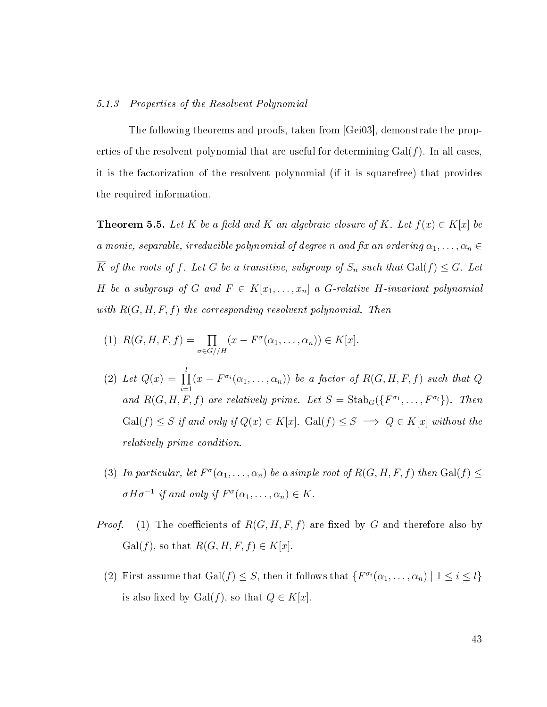#### 5.1.3 Properties of the Resolvent Polynomial

The following theorems and proofs, taken from [\[Gei03\]](#page-54-10), demonstrate the properties of the resolvent polynomial that are useful for determining  $Gal(f)$ . In all cases, it is the factorization of the resolvent polynomial (if it is squarefree) that provides the required information.

<span id="page-48-0"></span>**Theorem 5.5.** Let K be a field and  $\overline{K}$  an algebraic closure of K. Let  $f(x) \in K[x]$  be a monic, separable, irreducible polynomial of degree n and fix an ordering  $\alpha_1, \ldots, \alpha_n \in$  $\overline{K}$  of the roots of f. Let G be a transitive, subgroup of  $S_n$  such that  $Gal(f) \leq G$ . Let H be a subgroup of G and  $F \in K[x_1, \ldots, x_n]$  a G-relative H-invariant polynomial with  $R(G, H, F, f)$  the corresponding resolvent polynomial. Then

- (1)  $R(G, H, F, f) = \prod$  $\sigma{\in}{G}/\!/H$  $(x - F^{\sigma}(\alpha_1, \ldots, \alpha_n)) \in K[x].$
- (2) Let  $Q(x) = \prod^l$  $i=1$  $(x - F^{\sigma_i}(\alpha_1, \ldots, \alpha_n))$  be a factor of  $R(G, H, F, f)$  such that Q and  $R(G, H, F, f)$  are relatively prime. Let  $S = \text{Stab}_G(\{F^{\sigma_1}, \ldots, F^{\sigma_l}\})$ . Then  $Gal(f) \leq S$  if and only if  $Q(x) \in K[x]$ .  $Gal(f) \leq S \implies Q \in K[x]$  without the relatively prime condition.
- (3) In particular, let  $F^{\sigma}(\alpha_1,\ldots,\alpha_n)$  be a simple root of  $R(G, H, F, f)$  then  $Gal(f) \leq$  $\sigma H \sigma^{-1}$  if and only if  $F^{\sigma}(\alpha_1, \ldots, \alpha_n) \in K$ .
- *Proof.* (1) The coefficients of  $R(G, H, F, f)$  are fixed by G and therefore also by Gal(f), so that  $R(G, H, F, f) \in K[x]$ .
	- (2) First assume that  $Gal(f) \leq S$ , then it follows that  $\{F^{\sigma_i}(\alpha_1,\ldots,\alpha_n) \mid 1 \leq i \leq l\}$ is also fixed by Gal $(f)$ , so that  $Q \in K[x]$ .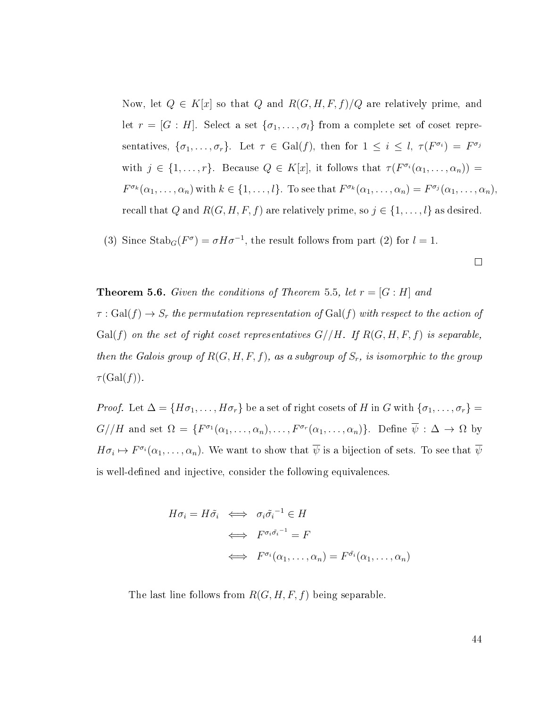Now, let  $Q \in K[x]$  so that Q and  $R(G, H, F, f)/Q$  are relatively prime, and let  $r = [G : H]$ . Select a set  $\{\sigma_1, \ldots, \sigma_l\}$  from a complete set of coset representatives,  $\{\sigma_1,\ldots,\sigma_r\}$ . Let  $\tau \in \text{Gal}(f)$ , then for  $1 \leq i \leq l$ ,  $\tau(F^{\sigma_i}) = F^{\sigma_j}$ with  $j \in \{1, \ldots, r\}$ . Because  $Q \in K[x]$ , it follows that  $\tau(F^{\sigma_i}(\alpha_1, \ldots, \alpha_n)) =$  $F^{\sigma_k}(\alpha_1,\ldots,\alpha_n)$  with  $k \in \{1,\ldots,l\}$ . To see that  $F^{\sigma_k}(\alpha_1,\ldots,\alpha_n) = F^{\sigma_j}(\alpha_1,\ldots,\alpha_n)$ , recall that Q and  $R(G, H, F, f)$  are relatively prime, so  $j \in \{1, ..., l\}$  as desired.

(3) Since  $\text{Stab}_G(F^{\sigma}) = \sigma H \sigma^{-1}$ , the result follows from part (2) for  $l = 1$ .

<span id="page-49-0"></span>**Theorem 5.6.** Given the conditions of Theorem [5.5,](#page-48-0) let  $r = [G : H]$  and

 $\tau : Gal(f) \to S_r$  the permutation representation of  $Gal(f)$  with respect to the action of  $Gal(f)$  on the set of right coset representatives  $G//H$ . If  $R(G, H, F, f)$  is separable, then the Galois group of  $R(G, H, F, f)$ , as a subgroup of  $S_r$ , is isomorphic to the group  $\tau(\mathrm{Gal}(f)).$ 

*Proof.* Let  $\Delta = \{H\sigma_1, \ldots, H\sigma_r\}$  be a set of right cosets of H in G with  $\{\sigma_1, \ldots, \sigma_r\}$  $G//H$  and set  $\Omega = \{F^{\sigma_1}(\alpha_1,\ldots,\alpha_n),\ldots,F^{\sigma_r}(\alpha_1,\ldots,\alpha_n)\}\.$  Define  $\overline{\psi}: \Delta \to \Omega$  by  $H\sigma_i \mapsto F^{\sigma_i}(\alpha_1,\ldots,\alpha_n)$ . We want to show that  $\overline{\psi}$  is a bijection of sets. To see that  $\overline{\psi}$ is well-defined and injective, consider the following equivalences.

$$
H\sigma_i = H\tilde{\sigma}_i \iff \sigma_i \tilde{\sigma}_i^{-1} \in H
$$
  

$$
\iff F^{\sigma_i \tilde{\sigma}_i^{-1}} = F
$$
  

$$
\iff F^{\sigma_i}(\alpha_1, \dots, \alpha_n) = F^{\tilde{\sigma}_i}(\alpha_1, \dots, \alpha_n)
$$

The last line follows from  $R(G, H, F, f)$  being separable.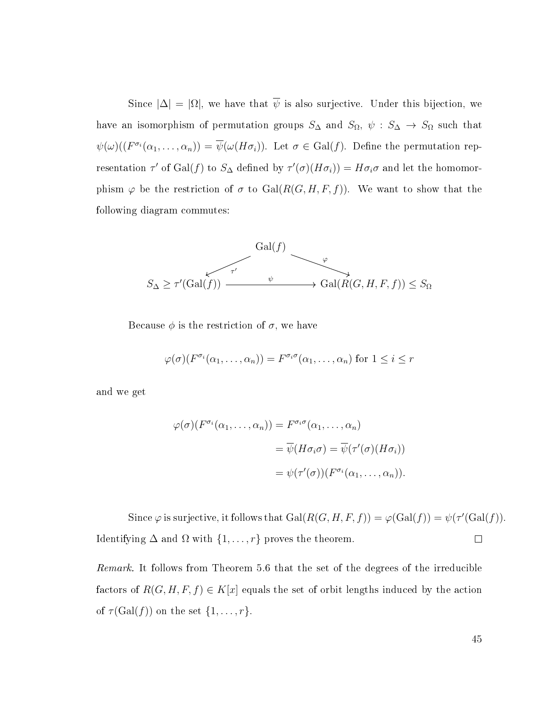Since  $|\Delta| = |\Omega|$ , we have that  $\overline{\psi}$  is also surjective. Under this bijection, we have an isomorphism of permutation groups  $S_{\Delta}$  and  $S_{\Omega}$ ,  $\psi : S_{\Delta} \to S_{\Omega}$  such that  $\psi(\omega)((F^{\sigma_i}(\alpha_1,\ldots,\alpha_n))=\overline{\psi}(\omega(H\sigma_i)).$  Let  $\sigma\in\mathrm{Gal}(f).$  Define the permutation representation  $\tau'$  of Gal(f) to  $S_{\Delta}$  defined by  $\tau'(\sigma)(H\sigma_i) = H\sigma_i\sigma$  and let the homomorphism  $\varphi$  be the restriction of  $\sigma$  to  $Gal(R(G, H, F, f))$ . We want to show that the following diagram commutes:

$$
S_{\Delta} \ge \tau'(\text{Gal}(f)) \xrightarrow{\tau'} \text{Gal}(R(G, H, F, f)) \le S_{\Omega}
$$

Because  $\phi$  is the restriction of  $\sigma$ , we have

$$
\varphi(\sigma)(F^{\sigma_i}(\alpha_1,\ldots,\alpha_n)) = F^{\sigma_i \sigma}(\alpha_1,\ldots,\alpha_n)
$$
 for  $1 \leq i \leq r$ 

and we get

$$
\varphi(\sigma)(F^{\sigma_i}(\alpha_1, \dots, \alpha_n)) = F^{\sigma_i \sigma}(\alpha_1, \dots, \alpha_n)
$$

$$
= \overline{\psi}(H\sigma_i \sigma) = \overline{\psi}(\tau'(\sigma)(H\sigma_i))
$$

$$
= \psi(\tau'(\sigma))(F^{\sigma_i}(\alpha_1, \dots, \alpha_n)).
$$

Since  $\varphi$  is surjective, it follows that  $Gal(R(G, H, F, f)) = \varphi(Gal(f)) = \psi(\tau'(Gal(f))).$ Identifying  $\Delta$  and  $\Omega$  with  $\{1, \ldots, r\}$  proves the theorem.  $\Box$ 

Remark. It follows from Theorem [5.6](#page-49-0) that the set of the degrees of the irreducible factors of  $R(G, H, F, f) \in K[x]$  equals the set of orbit lengths induced by the action of  $\tau(\text{Gal}(f))$  on the set  $\{1,\ldots,r\}.$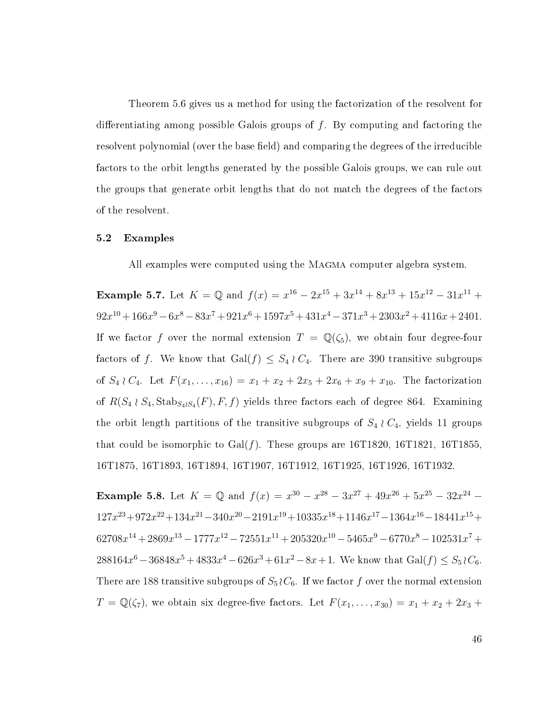Theorem [5.6](#page-49-0) gives us a method for using the factorization of the resolvent for differentiating among possible Galois groups of  $f$ . By computing and factoring the resolvent polynomial (over the base field) and comparing the degrees of the irreducible factors to the orbit lengths generated by the possible Galois groups, we can rule out the groups that generate orbit lengths that do not match the degrees of the factors of the resolvent.

#### <span id="page-51-0"></span>5.2 Examples

All examples were computed using the MAGMA computer algebra system.

Example 5.7. Let  $K = \mathbb{Q}$  and  $f(x) = x^{16} - 2x^{15} + 3x^{14} + 8x^{13} + 15x^{12} - 31x^{11} +$  $92x^{10} + 166x^9 - 6x^8 - 83x^7 + 921x^6 + 1597x^5 + 431x^4 - 371x^3 + 2303x^2 + 4116x + 2401$ If we factor f over the normal extension  $T = \mathbb{Q}(\zeta_5)$ , we obtain four degree-four factors of f. We know that Gal $(f) \leq S_4 \wr C_4$ . There are 390 transitive subgroups of  $S_4 \wr C_4$ . Let  $F(x_1, \ldots, x_{16}) = x_1 + x_2 + 2x_5 + 2x_6 + x_9 + x_{10}$ . The factorization of  $R(S_4 \wr S_4, \text{Stab}_{S_4 \wr S_4}(F), F, f)$  yields three factors each of degree 864. Examining the orbit length partitions of the transitive subgroups of  $S_4 \nvert C_4$ , yields 11 groups that could be isomorphic to  $Gal(f)$ . These groups are 16T1820, 16T1821, 16T1855. 16T1875, 16T1893, 16T1894, 16T1907, 16T1912, 16T1925, 16T1926, 16T1932.

**Example 5.8.** Let  $K = \mathbb{Q}$  and  $f(x) = x^{30} - x^{28} - 3x^{27} + 49x^{26} + 5x^{25} - 32x^{24} 127x^{23} + 972x^{22} + 134x^{21} - 340x^{20} - 2191x^{19} + 10335x^{18} + 1146x^{17} - 1364x^{16} - 18441x^{15} +$  $62708x^{14} + 2869x^{13} - 1777x^{12} - 72551x^{11} + 205320x^{10} - 5465x^9 - 6770x^8 - 102531x^7 +$  $288164x^{6} - 36848x^{5} + 4833x^{4} - 626x^{3} + 61x^{2} - 8x + 1$ . We know that  $Gal(f) \leq S_5 \wr C_6$ . There are 188 transitive subgroups of  $S_5 \nvert C_6$ . If we factor f over the normal extension  $T = \mathbb{Q}(\zeta_7)$ , we obtain six degree-five factors. Let  $F(x_1, \ldots, x_{30}) = x_1 + x_2 + 2x_3 +$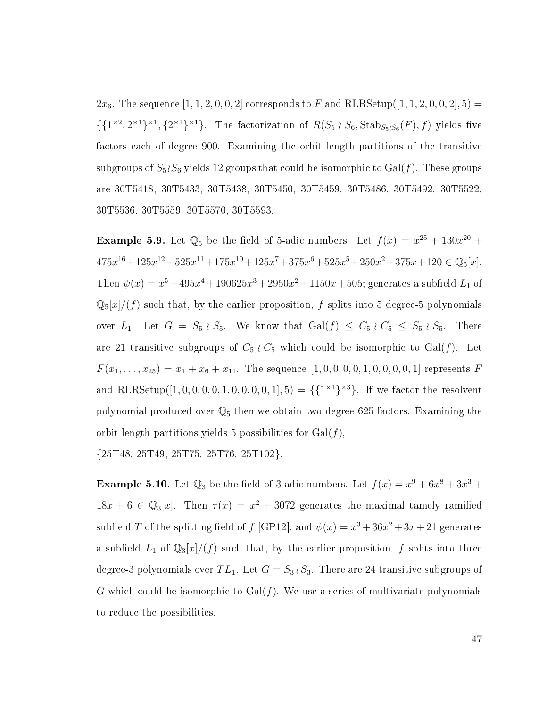$2x_6$ . The sequence  $[1, 1, 2, 0, 0, 2]$  corresponds to F and RLRSetup( $[1, 1, 2, 0, 0, 2]$ ,  $5)$ )  $\{\{1^{\times 2}, 2^{\times 1}\}^{\times 1}, \{2^{\times 1}\}^{\times 1}\}.$  The factorization of  $R(S_5 \wr S_6, \text{Stab}_{S_5 \wr S_6}(F), f)$  yields five factors each of degree 900. Examining the orbit length partitions of the transitive subgroups of  $S_5 \wr S_6$  yields 12 groups that could be isomorphic to  $Gal(f)$ . These groups are 30T5418, 30T5433, 30T5438, 30T5450, 30T5459, 30T5486, 30T5492, 30T5522, 30T5536, 30T5559, 30T5570, 30T5593.

**Example 5.9.** Let  $\mathbb{Q}_5$  be the field of 5-adic numbers. Let  $f(x) = x^{25} + 130x^{20} +$  $475x^{16} + 125x^{12} + 525x^{11} + 175x^{10} + 125x^7 + 375x^6 + 525x^5 + 250x^2 + 375x + 120 \in \mathbb{Q}_5[x]$ . Then  $\psi(x) = x^5 + 495x^4 + 190625x^3 + 2950x^2 + 1150x + 505$ ; generates a subfield  $L_1$  of  $\mathbb{Q}_5[x]/(f)$  such that, by the earlier proposition, f splits into 5 degree-5 polynomials over  $L_1$ . Let  $G = S_5 \wr S_5$ . We know that  $Gal(f) \leq C_5 \wr C_5 \leq S_5 \wr S_5$ . There are 21 transitive subgroups of  $C_5 \nvert C_5$  which could be isomorphic to Gal(f). Let  $F(x_1, \ldots, x_{25}) = x_1 + x_6 + x_{11}$ . The sequence  $[1, 0, 0, 0, 0, 1, 0, 0, 0, 0, 1]$  represents F and RLRSetup([1, 0, 0, 0, 0, 1, 0, 0, 0, 0, 1], 5) = { ${1^{\times 1}}^{\times 3}$ }. If we factor the resolvent polynomial produced over  $\mathbb{Q}_5$  then we obtain two degree-625 factors. Examining the orbit length partitions yields 5 possibilities for  $Gal(f)$ ,

{25T48, 25T49, 25T75, 25T76, 25T102}.

**Example 5.10.** Let  $\mathbb{Q}_3$  be the field of 3-adic numbers. Let  $f(x) = x^9 + 6x^8 + 3x^3 +$  $18x + 6 \in \mathbb{Q}_3[x]$ . Then  $\tau(x) = x^2 + 3072$  generates the maximal tamely ramified subfield T of the splitting field of f [\[GP12\]](#page-54-11), and  $\psi(x) = x^3 + 36x^2 + 3x + 21$  generates a subfield  $L_1$  of  $\mathbb{Q}_3[x]/(f)$  such that, by the earlier proposition, f splits into three degree-3 polynomials over  $TL_1$ . Let  $G = S_3 \wr S_3$ . There are 24 transitive subgroups of G which could be isomorphic to  $Gal(f)$ . We use a series of multivariate polynomials to reduce the possibilities.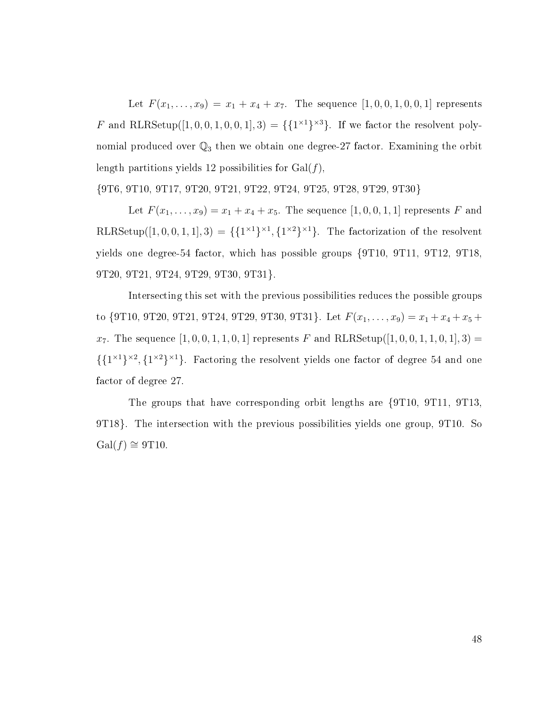Let  $F(x_1, \ldots, x_9) = x_1 + x_4 + x_7$ . The sequence  $[1, 0, 0, 1, 0, 0, 1]$  represents F and RLRSetup([1, 0, 0, 1, 0, 0, 1], 3) = { ${1^{\times 1}}^3$ }. If we factor the resolvent polynomial produced over  $\mathbb{Q}_3$  then we obtain one degree-27 factor. Examining the orbit length partitions yields 12 possibilities for  $Gal(f)$ ,

{9T6, 9T10, 9T17, 9T20, 9T21, 9T22, 9T24, 9T25, 9T28, 9T29, 9T30}

Let  $F(x_1, ..., x_9) = x_1 + x_4 + x_5$ . The sequence  $[1, 0, 0, 1, 1]$  represents F and RLRSetup([1, 0, 0, 1, 1], 3) = { $\{1^{\times 1}\}^{\times 1}, \{1^{\times 2}\}^{\times 1}\}$ . The factorization of the resolvent yields one degree-54 factor, which has possible groups {9T10, 9T11, 9T12, 9T18, 9T20, 9T21, 9T24, 9T29, 9T30, 9T31}.

Intersecting this set with the previous possibilities reduces the possible groups to {9T10, 9T20, 9T21, 9T24, 9T29, 9T30, 9T31}. Let  $F(x_1, \ldots, x_9) = x_1 + x_4 + x_5 +$  $x_7$ . The sequence  $[1, 0, 0, 1, 1, 0, 1]$  represents F and RLRSetup( $[1, 0, 0, 1, 1, 0, 1]$ , 3) =  $\{\{1^{\times 1}\}^{\times 2}, \{1^{\times 2}\}^{\times 1}\}\.$  Factoring the resolvent yields one factor of degree 54 and one factor of degree 27.

The groups that have corresponding orbit lengths are {9T10, 9T11, 9T13, 9T18}. The intersection with the previous possibilities yields one group, 9T10. So  $Gal(f) \cong 9T10.$